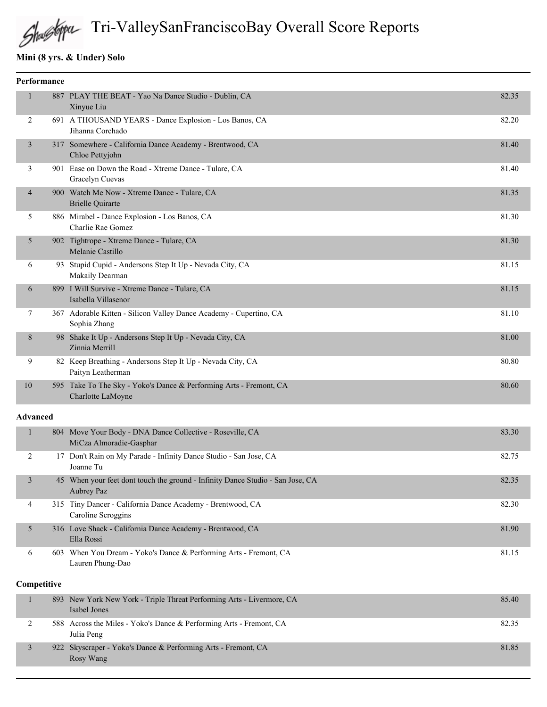# Tri-ValleySanFranciscoBay Overall Score Reports

## **Mini (8 yrs. & Under) Solo**

|                 | Performance |                                                                                              |       |
|-----------------|-------------|----------------------------------------------------------------------------------------------|-------|
| 1               |             | 887 PLAY THE BEAT - Yao Na Dance Studio - Dublin, CA<br>Xinyue Liu                           | 82.35 |
| 2               |             | 691 A THOUSAND YEARS - Dance Explosion - Los Banos, CA<br>Jihanna Corchado                   | 82.20 |
| 3               |             | 317 Somewhere - California Dance Academy - Brentwood, CA<br>Chloe Pettyjohn                  | 81.40 |
| 3               |             | 901 Ease on Down the Road - Xtreme Dance - Tulare, CA<br>Gracelyn Cuevas                     | 81.40 |
| 4               |             | 900 Watch Me Now - Xtreme Dance - Tulare, CA<br><b>Brielle Quirarte</b>                      | 81.35 |
| 5               |             | 886 Mirabel - Dance Explosion - Los Banos, CA<br>Charlie Rae Gomez                           | 81.30 |
| 5               |             | 902 Tightrope - Xtreme Dance - Tulare, CA<br>Melanie Castillo                                | 81.30 |
| 6               |             | 93 Stupid Cupid - Andersons Step It Up - Nevada City, CA<br>Makaily Dearman                  | 81.15 |
| 6               |             | 899 I Will Survive - Xtreme Dance - Tulare, CA<br>Isabella Villasenor                        | 81.15 |
| 7               |             | 367 Adorable Kitten - Silicon Valley Dance Academy - Cupertino, CA<br>Sophia Zhang           | 81.10 |
| 8               |             | 98 Shake It Up - Andersons Step It Up - Nevada City, CA<br>Zinnia Merrill                    | 81.00 |
| 9               |             | 82 Keep Breathing - Andersons Step It Up - Nevada City, CA<br>Paityn Leatherman              | 80.80 |
| 10              |             | 595 Take To The Sky - Yoko's Dance & Performing Arts - Fremont, CA<br>Charlotte LaMoyne      | 80.60 |
| <b>Advanced</b> |             |                                                                                              |       |
| $\mathbf{1}$    |             | 804 Move Your Body - DNA Dance Collective - Roseville, CA<br>MiCza Almoradie-Gasphar         | 83.30 |
| 2               |             | 17 Don't Rain on My Parade - Infinity Dance Studio - San Jose, CA<br>Joanne Tu               | 82.75 |
| 3               |             | 45 When your feet dont touch the ground - Infinity Dance Studio - San Jose, CA<br>Aubrey Paz | 82.35 |
| 4               |             | 315 Tiny Dancer - California Dance Academy - Brentwood, CA<br>Caroline Scroggins             | 82.30 |
| 5               |             | 316 Love Shack - California Dance Academy - Brentwood, CA<br>Ella Rossi                      | 81.90 |
| 6               |             | 603 When You Dream - Yoko's Dance & Performing Arts - Fremont, CA<br>Lauren Phung-Dao        | 81.15 |
|                 | Competitive |                                                                                              |       |

|  | 893 New York New York - Triple Threat Performing Arts - Livermore, CA<br>Isabel Jones | 85.40 |
|--|---------------------------------------------------------------------------------------|-------|
|  | 588 Across the Miles - Yoko's Dance & Performing Arts - Fremont, CA<br>Julia Peng     | 82.35 |
|  | 922 Skyscraper - Yoko's Dance & Performing Arts - Fremont, CA<br>Rosy Wang            | 81.85 |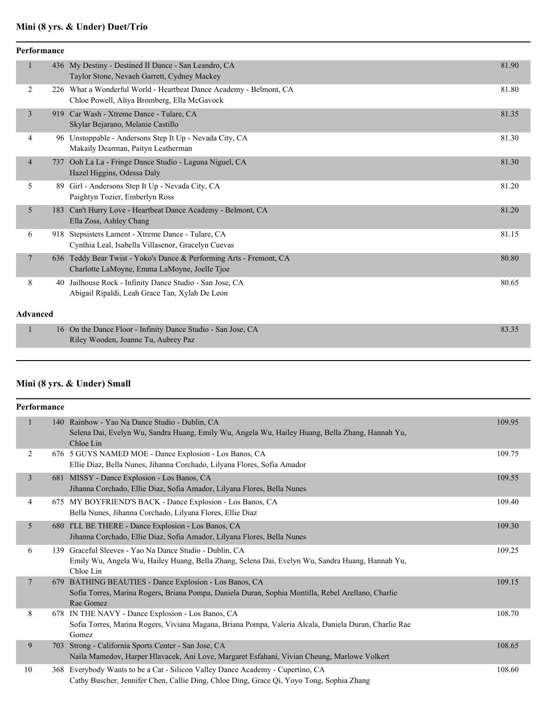## **Mini (8 yrs. & Under) Duet/Trio**

| <b>Performance</b> |     |                                                                                                                     |       |  |
|--------------------|-----|---------------------------------------------------------------------------------------------------------------------|-------|--|
| $\mathbf{1}$       |     | 436 My Destiny - Destined II Dance - San Leandro, CA<br>Taylor Stone, Nevaeh Garrett, Cydney Mackey                 | 81.90 |  |
| 2                  |     | 226 What a Wonderful World - Heartbeat Dance Academy - Belmont, CA<br>Chloe Powell, Aliya Bromberg, Ella McGavock   | 81.80 |  |
| 3                  |     | 919 Car Wash - Xtreme Dance - Tulare, CA<br>Skylar Bejarano, Melanie Castillo                                       | 81.35 |  |
| 4                  |     | 96 Unstoppable - Andersons Step It Up - Nevada City, CA<br>Makaily Dearman, Paityn Leatherman                       | 81.30 |  |
| $\overline{4}$     |     | 737 Ooh La La - Fringe Dance Studio - Laguna Niguel, CA<br>Hazel Higgins, Odessa Daly                               | 81.30 |  |
| 5                  |     | 89 Girl - Andersons Step It Up - Nevada City, CA<br>Paightyn Tozier, Emberlyn Ross                                  | 81.20 |  |
| 5                  | 183 | Can't Hurry Love - Heartbeat Dance Academy - Belmont, CA<br>Ella Zoss, Ashley Chang                                 | 81.20 |  |
| 6                  |     | 918 Stepsisters Lament - Xtreme Dance - Tulare, CA<br>Cynthia Leal, Isabella Villasenor, Gracelyn Cuevas            | 81.15 |  |
| $7\phantom{.0}$    |     | 636 Teddy Bear Twist - Yoko's Dance & Performing Arts - Fremont, CA<br>Charlotte LaMoyne, Emma LaMoyne, Joelle Tjoe | 80.80 |  |
| 8                  |     | 40 Jailhouse Rock - Infinity Dance Studio - San Jose, CA<br>Abigail Ripaldi, Leah Grace Tan, Xylah De Leon          | 80.65 |  |
| <b>Advanced</b>    |     |                                                                                                                     |       |  |
| $\mathbf{1}$       |     | 16 On the Dance Floor - Infinity Dance Studio - San Jose, CA<br>Riley Wooden, Joanne Tu, Aubrey Paz                 | 83.35 |  |

### **Mini (8 yrs. & Under) Small**

| Performance    |     |                                                                                                                                                                         |        |
|----------------|-----|-------------------------------------------------------------------------------------------------------------------------------------------------------------------------|--------|
|                |     | 140 Rainbow - Yao Na Dance Studio - Dublin, CA<br>Selena Dai, Evelyn Wu, Sandra Huang, Emily Wu, Angela Wu, Hailey Huang, Bella Zhang, Hannah Yu,<br>Chloe Lin          | 109.95 |
| 2              |     | 676 5 GUYS NAMED MOE - Dance Explosion - Los Banos, CA<br>Ellie Diaz, Bella Nunes, Jihanna Corchado, Lilyana Flores, Sofia Amador                                       | 109.75 |
| 3              |     | 681 MISSY - Dance Explosion - Los Banos, CA<br>Jihanna Corchado, Ellie Diaz, Sofia Amador, Lilyana Flores, Bella Nunes                                                  | 109.55 |
| 4              |     | 675 MY BOYFRIEND'S BACK - Dance Explosion - Los Banos, CA<br>Bella Nunes, Jihanna Corchado, Lilyana Flores, Ellie Diaz                                                  | 109.40 |
| 5              |     | 680 I'LL BE THERE - Dance Explosion - Los Banos, CA<br>Jihanna Corchado, Ellie Diaz, Sofia Amador, Lilyana Flores, Bella Nunes                                          | 109.30 |
| 6              |     | 139 Graceful Sleeves - Yao Na Dance Studio - Dublin, CA<br>Emily Wu, Angela Wu, Hailey Huang, Bella Zhang, Selena Dai, Evelyn Wu, Sandra Huang, Hannah Yu,<br>Chloe Lin | 109.25 |
| $\overline{7}$ | 679 | BATHING BEAUTIES - Dance Explosion - Los Banos, CA<br>Sofia Torres, Marina Rogers, Briana Pompa, Daniela Duran, Sophia Montilla, Rebel Arellano, Charlie<br>Rae Gomez   | 109.15 |
| 8              |     | 678 IN THE NAVY - Dance Explosion - Los Banos, CA<br>Sofia Torres, Marina Rogers, Viviana Magana, Briana Pompa, Valeria Alcala, Daniela Duran, Charlie Rae<br>Gomez     | 108.70 |
| 9              | 703 | Strong - California Sports Center - San Jose, CA<br>Naila Mamedov, Harper Hlavacek, Ani Love, Margaret Esfahani, Vivian Cheung, Marlowe Volkert                         | 108.65 |
| 10             | 368 | Everybody Wants to be a Cat - Silicon Valley Dance Academy - Cupertino, CA<br>Cathy Buscher, Jennifer Chen, Callie Ding, Chloe Ding, Grace Qi, Yoyo Tong, Sophia Zhang  | 108.60 |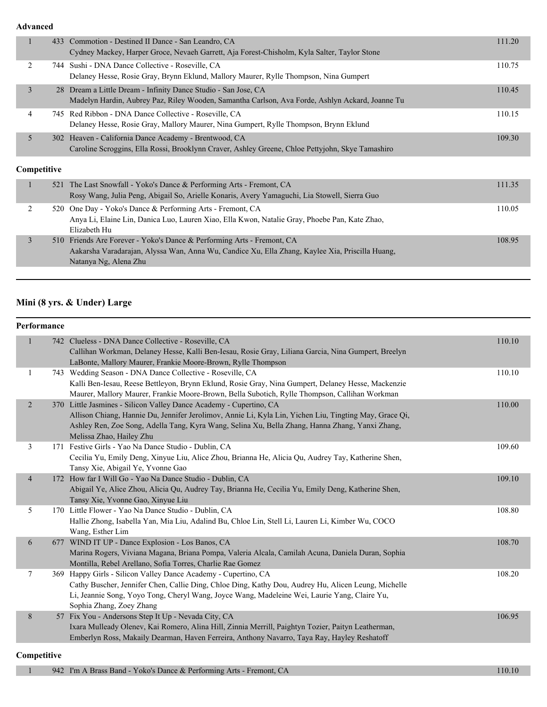**Advanced**

|   |             | 433 Commotion - Destined II Dance - San Leandro, CA<br>Cydney Mackey, Harper Groce, Nevaeh Garrett, Aja Forest-Chisholm, Kyla Salter, Taylor Stone                   | 111.20 |
|---|-------------|----------------------------------------------------------------------------------------------------------------------------------------------------------------------|--------|
| 2 |             | 744 Sushi - DNA Dance Collective - Roseville, CA<br>Delaney Hesse, Rosie Gray, Brynn Eklund, Mallory Maurer, Rylle Thompson, Nina Gumpert                            | 110.75 |
| 3 |             | 28 Dream a Little Dream - Infinity Dance Studio - San Jose, CA<br>Madelyn Hardin, Aubrey Paz, Riley Wooden, Samantha Carlson, Ava Forde, Ashlyn Ackard, Joanne Tu    | 110.45 |
| 4 |             | 745 Red Ribbon - DNA Dance Collective - Roseville, CA<br>Delaney Hesse, Rosie Gray, Mallory Maurer, Nina Gumpert, Rylle Thompson, Brynn Eklund                       | 110.15 |
| 5 |             | 302 Heaven - California Dance Academy - Brentwood, CA<br>Caroline Scroggins, Ella Rossi, Brooklynn Craver, Ashley Greene, Chloe Pettyjohn, Skye Tamashiro            | 109.30 |
|   | Competitive |                                                                                                                                                                      |        |
|   |             | 521 The Last Snowfall - Yoko's Dance & Performing Arts - Fremont, CA<br>Rosy Wang, Julia Peng, Abigail So, Arielle Konaris, Avery Yamaguchi, Lia Stowell, Sierra Guo | 111.35 |
|   |             | 520 One Day - Yoko's Dance & Performing Arts - Fremont, CA                                                                                                           | 110.05 |

|  | Anya Li, Elaine Lin, Danica Luo, Lauren Xiao, Ella Kwon, Natalie Gray, Phoebe Pan, Kate Zhao,   |        |
|--|-------------------------------------------------------------------------------------------------|--------|
|  | Elizabeth Hu                                                                                    |        |
|  | 510 Friends Are Forever - Yoko's Dance & Performing Arts - Fremont, CA                          | 108.95 |
|  | Aakarsha Varadarajan, Alyssa Wan, Anna Wu, Candice Xu, Ella Zhang, Kaylee Xia, Priscilla Huang, |        |
|  | Natanya Ng, Alena Zhu                                                                           |        |

### **Mini (8 yrs. & Under) Large**

#### **Performance**

| $\mathbf{1}$   | 742 Clueless - DNA Dance Collective - Roseville, CA<br>Callihan Workman, Delaney Hesse, Kalli Ben-Iesau, Rosie Gray, Liliana Garcia, Nina Gumpert, Breelyn | 110.10 |
|----------------|------------------------------------------------------------------------------------------------------------------------------------------------------------|--------|
|                | LaBonte, Mallory Maurer, Frankie Moore-Brown, Rylle Thompson                                                                                               |        |
| 1              | 743 Wedding Season - DNA Dance Collective - Roseville, CA                                                                                                  | 110.10 |
|                | Kalli Ben-Iesau, Reese Bettleyon, Brynn Eklund, Rosie Gray, Nina Gumpert, Delaney Hesse, Mackenzie                                                         |        |
|                | Maurer, Mallory Maurer, Frankie Moore-Brown, Bella Subotich, Rylle Thompson, Callihan Workman                                                              |        |
| $\overline{2}$ | 370 Little Jasmines - Silicon Valley Dance Academy - Cupertino, CA                                                                                         | 110.00 |
|                | Allison Chiang, Hannie Du, Jennifer Jerolimov, Annie Li, Kyla Lin, Yichen Liu, Tingting May, Grace Qi,                                                     |        |
|                | Ashley Ren, Zoe Song, Adella Tang, Kyra Wang, Selina Xu, Bella Zhang, Hanna Zhang, Yanxi Zhang,                                                            |        |
|                | Melissa Zhao, Hailey Zhu                                                                                                                                   |        |
| 3              | 171 Festive Girls - Yao Na Dance Studio - Dublin, CA                                                                                                       | 109.60 |
|                | Cecilia Yu, Emily Deng, Xinyue Liu, Alice Zhou, Brianna He, Alicia Qu, Audrey Tay, Katherine Shen,                                                         |        |
|                | Tansy Xie, Abigail Ye, Yvonne Gao                                                                                                                          |        |
| $\overline{4}$ | 172 How far I Will Go - Yao Na Dance Studio - Dublin, CA                                                                                                   | 109.10 |
|                | Abigail Ye, Alice Zhou, Alicia Qu, Audrey Tay, Brianna He, Cecilia Yu, Emily Deng, Katherine Shen,                                                         |        |
|                | Tansy Xie, Yvonne Gao, Xinyue Liu                                                                                                                          |        |
| 5              | 170 Little Flower - Yao Na Dance Studio - Dublin, CA                                                                                                       | 108.80 |
|                | Hallie Zhong, Isabella Yan, Mia Liu, Adalind Bu, Chloe Lin, Stell Li, Lauren Li, Kimber Wu, COCO                                                           |        |
|                | Wang, Esther Lim                                                                                                                                           |        |
| 6              | 677 WIND IT UP - Dance Explosion - Los Banos, CA                                                                                                           | 108.70 |
|                | Marina Rogers, Viviana Magana, Briana Pompa, Valeria Alcala, Camilah Acuna, Daniela Duran, Sophia                                                          |        |
|                | Montilla, Rebel Arellano, Sofia Torres, Charlie Rae Gomez                                                                                                  |        |
| $\tau$         | 369 Happy Girls - Silicon Valley Dance Academy - Cupertino, CA                                                                                             | 108.20 |
|                | Cathy Buscher, Jennifer Chen, Callie Ding, Chloe Ding, Kathy Dou, Audrey Hu, Alicen Leung, Michelle                                                        |        |
|                | Li, Jeannie Song, Yoyo Tong, Cheryl Wang, Joyce Wang, Madeleine Wei, Laurie Yang, Claire Yu,                                                               |        |
|                | Sophia Zhang, Zoey Zhang                                                                                                                                   |        |
| 8              | 57 Fix You - Andersons Step It Up - Nevada City, CA                                                                                                        | 106.95 |
|                | Ixara Mulleady Olenev, Kai Romero, Alina Hill, Zinnia Merrill, Paightyn Tozier, Paityn Leatherman,                                                         |        |
|                | Emberlyn Ross, Makaily Dearman, Haven Ferreira, Anthony Navarro, Taya Ray, Hayley Reshatoff                                                                |        |
|                |                                                                                                                                                            |        |
|                |                                                                                                                                                            |        |

#### **Competitive**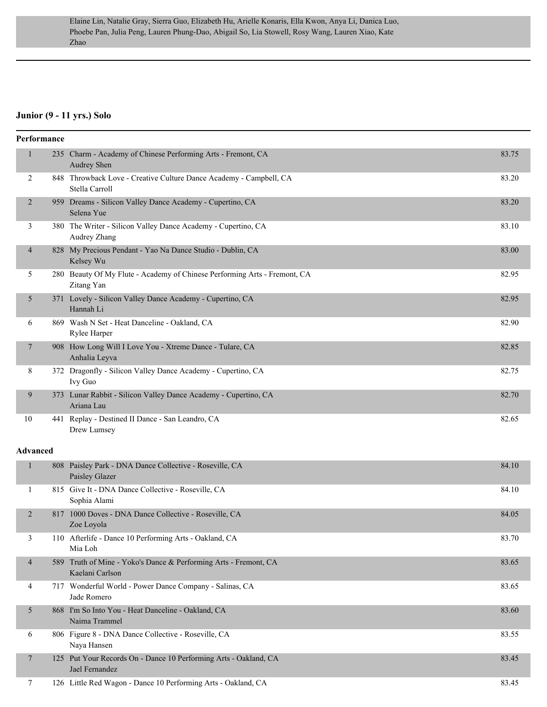### **Junior (9 - 11 yrs.) Solo**

|                          | Performance     |                                                                                         |       |
|--------------------------|-----------------|-----------------------------------------------------------------------------------------|-------|
| $\mathbf{1}$             |                 | 235 Charm - Academy of Chinese Performing Arts - Fremont, CA<br>Audrey Shen             | 83.75 |
| 2                        |                 | 848 Throwback Love - Creative Culture Dance Academy - Campbell, CA<br>Stella Carroll    | 83.20 |
| 2                        |                 | 959 Dreams - Silicon Valley Dance Academy - Cupertino, CA<br>Selena Yue                 | 83.20 |
| 3                        |                 | 380 The Writer - Silicon Valley Dance Academy - Cupertino, CA<br>Audrey Zhang           | 83.10 |
| $\overline{4}$           |                 | 828 My Precious Pendant - Yao Na Dance Studio - Dublin, CA<br>Kelsey Wu                 | 83.00 |
| 5                        |                 | 280 Beauty Of My Flute - Academy of Chinese Performing Arts - Fremont, CA<br>Zitang Yan | 82.95 |
| 5                        |                 | 371 Lovely - Silicon Valley Dance Academy - Cupertino, CA<br>Hannah Li                  | 82.95 |
| 6                        |                 | 869 Wash N Set - Heat Danceline - Oakland, CA<br>Rylee Harper                           | 82.90 |
| $\tau$                   |                 | 908 How Long Will I Love You - Xtreme Dance - Tulare, CA<br>Anhalia Leyva               | 82.85 |
| 8                        |                 | 372 Dragonfly - Silicon Valley Dance Academy - Cupertino, CA<br>Ivy Guo                 | 82.75 |
| 9                        |                 | 373 Lunar Rabbit - Silicon Valley Dance Academy - Cupertino, CA<br>Ariana Lau           | 82.70 |
| 10                       |                 | 441 Replay - Destined II Dance - San Leandro, CA<br>Drew Lumsey                         | 82.65 |
|                          | <b>Advanced</b> |                                                                                         |       |
| $\mathbf{1}$             |                 | 808 Paisley Park - DNA Dance Collective - Roseville, CA<br>Paisley Glazer               | 84.10 |
| 1                        |                 | 815 Give It - DNA Dance Collective - Roseville, CA<br>Sophia Alami                      | 84.10 |
| 2                        |                 | 817 1000 Doves - DNA Dance Collective - Roseville, CA<br>Zoe Loyola                     | 84.05 |
| 3                        |                 | 110 Afterlife - Dance 10 Performing Arts - Oakland, CA<br>Mia Loh                       | 83.70 |
| $\overline{\mathcal{A}}$ |                 | 589 Truth of Mine - Yoko's Dance & Performing Arts - Fremont, CA<br>Kaelani Carlson     | 83.65 |
| 4                        |                 | 717 Wonderful World - Power Dance Company - Salinas, CA<br>Jade Romero                  | 83.65 |
| 5                        |                 | 868 I'm So Into You - Heat Danceline - Oakland, CA<br>Naima Trammel                     | 83.60 |
| 6                        |                 | 806 Figure 8 - DNA Dance Collective - Roseville, CA<br>Naya Hansen                      | 83.55 |
| 7                        |                 | 125 Put Your Records On - Dance 10 Performing Arts - Oakland, CA<br>Jael Fernandez      | 83.45 |
| 7                        |                 | 126 Little Red Wagon - Dance 10 Performing Arts - Oakland, CA                           | 83.45 |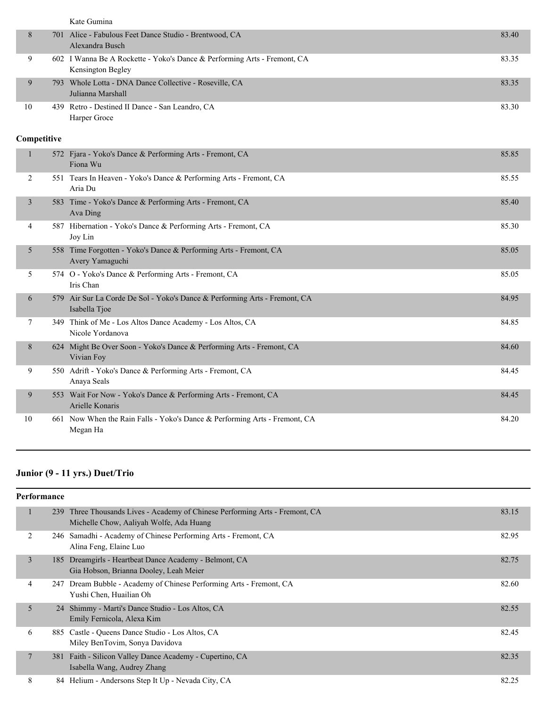|                | Kate Gumina                                                                                   |       |
|----------------|-----------------------------------------------------------------------------------------------|-------|
| 8              | 701 Alice - Fabulous Feet Dance Studio - Brentwood, CA<br>Alexandra Busch                     | 83.40 |
| 9              | 602 I Wanna Be A Rockette - Yoko's Dance & Performing Arts - Fremont, CA<br>Kensington Begley | 83.35 |
| 9              | 793 Whole Lotta - DNA Dance Collective - Roseville, CA<br>Julianna Marshall                   | 83.35 |
| 10             | 439 Retro - Destined II Dance - San Leandro, CA<br>Harper Groce                               | 83.30 |
| Competitive    |                                                                                               |       |
| $\mathbf{1}$   | 572 Fjara - Yoko's Dance & Performing Arts - Fremont, CA<br>Fiona Wu                          | 85.85 |
| 2              | 551 Tears In Heaven - Yoko's Dance & Performing Arts - Fremont, CA<br>Aria Du                 | 85.55 |
| $\overline{3}$ | 583 Time - Yoko's Dance & Performing Arts - Fremont, CA<br>Ava Ding                           | 85.40 |
| 4              | 587 Hibernation - Yoko's Dance & Performing Arts - Fremont, CA<br>Joy Lin                     | 85.30 |
| 5              | 558 Time Forgotten - Yoko's Dance & Performing Arts - Fremont, CA<br>Avery Yamaguchi          | 85.05 |
| 5              | 574 O - Yoko's Dance & Performing Arts - Fremont, CA<br>Iris Chan                             | 85.05 |
| 6              | 579 Air Sur La Corde De Sol - Yoko's Dance & Performing Arts - Fremont, CA<br>Isabella Tjoe   | 84.95 |
| 7              | 349 Think of Me - Los Altos Dance Academy - Los Altos, CA<br>Nicole Yordanova                 | 84.85 |
| 8              | 624 Might Be Over Soon - Yoko's Dance & Performing Arts - Fremont, CA<br>Vivian Foy           | 84.60 |
| 9              | 550 Adrift - Yoko's Dance & Performing Arts - Fremont, CA<br>Anaya Seals                      | 84.45 |
| 9              | 553 Wait For Now - Yoko's Dance & Performing Arts - Fremont, CA<br>Arielle Konaris            | 84.45 |
| 10             | 661 Now When the Rain Falls - Yoko's Dance & Performing Arts - Fremont, CA<br>Megan Ha        | 84.20 |

## **Junior (9 - 11 yrs.) Duet/Trio**

| <b>Performance</b> |                |     |                                                                                                                         |       |
|--------------------|----------------|-----|-------------------------------------------------------------------------------------------------------------------------|-------|
|                    | 1              |     | 239 Three Thousands Lives - Academy of Chinese Performing Arts - Fremont, CA<br>Michelle Chow, Aaliyah Wolfe, Ada Huang | 83.15 |
|                    | $\overline{2}$ |     | 246 Samadhi - Academy of Chinese Performing Arts - Fremont, CA<br>Alina Feng, Elaine Luo                                | 82.95 |
|                    | 3              | 185 | Dreamgirls - Heartbeat Dance Academy - Belmont, CA<br>Gia Hobson, Brianna Dooley, Leah Meier                            | 82.75 |
|                    | 4              | 247 | Dream Bubble - Academy of Chinese Performing Arts - Fremont, CA<br>Yushi Chen, Huailian Oh                              | 82.60 |
|                    | 5              |     | 24 Shimmy - Marti's Dance Studio - Los Altos, CA<br>Emily Fernicola, Alexa Kim                                          | 82.55 |
|                    | 6              | 885 | Castle - Queens Dance Studio - Los Altos, CA<br>Miley BenTovim, Sonya Davidova                                          | 82.45 |
|                    | 7              | 381 | Faith - Silicon Valley Dance Academy - Cupertino, CA<br>Isabella Wang, Audrey Zhang                                     | 82.35 |
|                    | 8              |     | 84 Helium - Andersons Step It Up - Nevada City, CA                                                                      | 82.25 |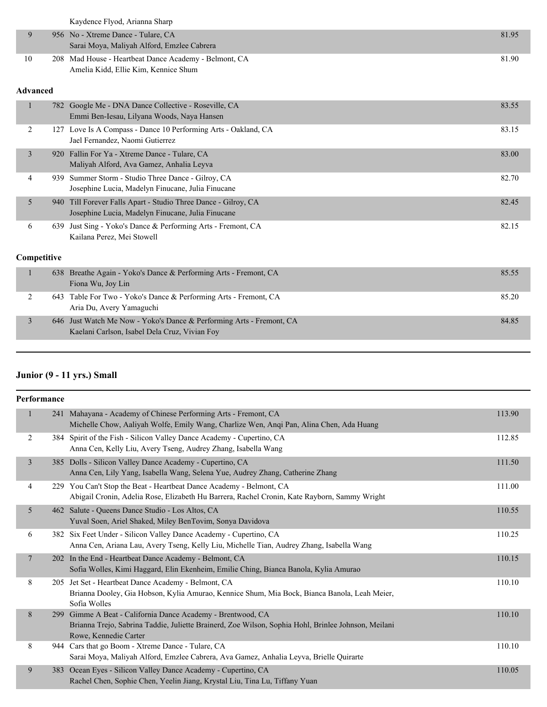Kaydence Flyod, Arianna Sharp

| 956 No - Xtreme Dance - Tulare, CA                    | 81.95 |
|-------------------------------------------------------|-------|
| Sarai Moya, Maliyah Alford, Emzlee Cabrera            |       |
| 208 Mad House - Heartbeat Dance Academy - Belmont, CA | 8190  |
| Amelia Kidd, Ellie Kim, Kennice Shum                  |       |

#### **Advanced**

|  | $\mathbf{1}$ |      | 782 Google Me - DNA Dance Collective - Roseville, CA<br>Emmi Ben-Iesau, Lilyana Woods, Naya Hansen                  | 83.55 |
|--|--------------|------|---------------------------------------------------------------------------------------------------------------------|-------|
|  | 2            | 127  | Love Is A Compass - Dance 10 Performing Arts - Oakland, CA<br>Jael Fernandez, Naomi Gutierrez                       | 83.15 |
|  | 3            |      | 920 Fallin For Ya - Xtreme Dance - Tulare, CA<br>Maliyah Alford, Ava Gamez, Anhalia Leyva                           | 83.00 |
|  | 4            | 939. | Summer Storm - Studio Three Dance - Gilroy, CA<br>Josephine Lucia, Madelyn Finucane, Julia Finucane                 | 82.70 |
|  | 5            |      | 940 Till Forever Falls Apart - Studio Three Dance - Gilroy, CA<br>Josephine Lucia, Madelyn Finucane, Julia Finucane | 82.45 |
|  | 6            | 639  | Just Sing - Yoko's Dance & Performing Arts - Fremont, CA<br>Kailana Perez, Mei Stowell                              | 82.15 |
|  | Competitive  |      |                                                                                                                     |       |
|  | 1            |      | 638 Breathe Again - Yoko's Dance & Performing Arts - Fremont, CA<br>Fiona Wu, Joy Lin                               | 85.55 |
|  | 2            | 643  | Table For Two - Yoko's Dance & Performing Arts - Fremont, CA<br>Aria Du, Avery Yamaguchi                            | 85.20 |
|  | 3            |      | 646 Just Watch Me Now - Yoko's Dance & Performing Arts - Fremont, CA                                                | 84.85 |

Kaelani Carlson, Isabel Dela Cruz, Vivian Foy

## **Junior (9 - 11 yrs.) Small**

| Performance     |     |                                                                                                                                                                                         |        |
|-----------------|-----|-----------------------------------------------------------------------------------------------------------------------------------------------------------------------------------------|--------|
| $\mathbf{1}$    |     | 241 Mahayana - Academy of Chinese Performing Arts - Fremont, CA<br>Michelle Chow, Aaliyah Wolfe, Emily Wang, Charlize Wen, Anqi Pan, Alina Chen, Ada Huang                              | 113.90 |
| $\overline{2}$  |     | 384 Spirit of the Fish - Silicon Valley Dance Academy - Cupertino, CA<br>Anna Cen, Kelly Liu, Avery Tseng, Audrey Zhang, Isabella Wang                                                  | 112.85 |
| 3               |     | 385 Dolls - Silicon Valley Dance Academy - Cupertino, CA<br>Anna Cen, Lily Yang, Isabella Wang, Selena Yue, Audrey Zhang, Catherine Zhang                                               | 111.50 |
| 4               |     | 229 You Can't Stop the Beat - Heartbeat Dance Academy - Belmont, CA<br>Abigail Cronin, Adelia Rose, Elizabeth Hu Barrera, Rachel Cronin, Kate Rayborn, Sammy Wright                     | 111.00 |
| 5               |     | 462 Salute - Queens Dance Studio - Los Altos, CA<br>Yuval Soen, Ariel Shaked, Miley BenTovim, Sonya Davidova                                                                            | 110.55 |
| 6               |     | 382 Six Feet Under - Silicon Valley Dance Academy - Cupertino, CA<br>Anna Cen, Ariana Lau, Avery Tseng, Kelly Liu, Michelle Tian, Audrey Zhang, Isabella Wang                           | 110.25 |
| $7\phantom{.0}$ |     | 202 In the End - Heartbeat Dance Academy - Belmont, CA<br>Sofia Wolles, Kimi Haggard, Elin Ekenheim, Emilie Ching, Bianca Banola, Kylia Amurao                                          | 110.15 |
| 8               |     | 205 Jet Set - Heartbeat Dance Academy - Belmont, CA<br>Brianna Dooley, Gia Hobson, Kylia Amurao, Kennice Shum, Mia Bock, Bianca Banola, Leah Meier,<br>Sofia Wolles                     | 110.10 |
| 8               | 299 | Gimme A Beat - California Dance Academy - Brentwood, CA<br>Brianna Trejo, Sabrina Taddie, Juliette Brainerd, Zoe Wilson, Sophia Hohl, Brinlee Johnson, Meilani<br>Rowe, Kennedie Carter | 110.10 |
| 8               |     | 944 Cars that go Boom - Xtreme Dance - Tulare, CA<br>Sarai Moya, Maliyah Alford, Emzlee Cabrera, Ava Gamez, Anhalia Leyva, Brielle Quirarte                                             | 110.10 |
| 9               | 383 | Ocean Eyes - Silicon Valley Dance Academy - Cupertino, CA<br>Rachel Chen, Sophie Chen, Yeelin Jiang, Krystal Liu, Tina Lu, Tiffany Yuan                                                 | 110.05 |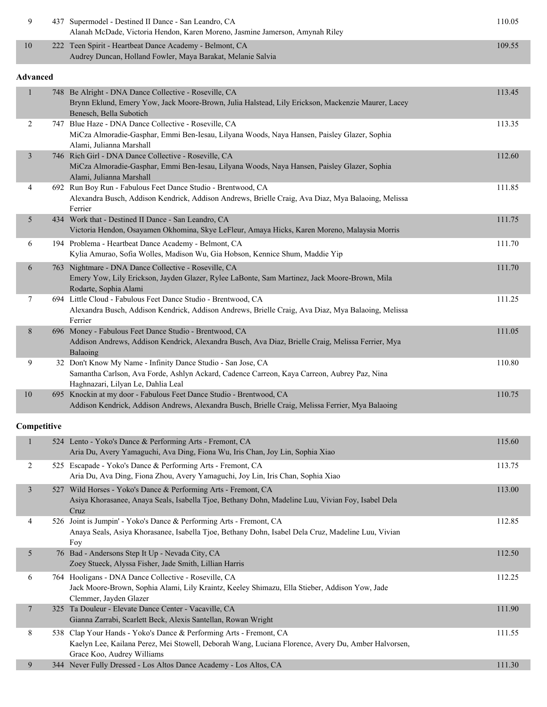|    | 437 Supermodel - Destined II Dance - San Leandro, CA<br>Alanah McDade, Victoria Hendon, Karen Moreno, Jasmine Jamerson, Amynah Riley | 110.05 |
|----|--------------------------------------------------------------------------------------------------------------------------------------|--------|
| 10 | 222 Teen Spirit - Heartbeat Dance Academy - Belmont, CA                                                                              | 109.55 |
|    | Audrey Duncan, Holland Fowler, Maya Barakat, Melanie Salvia                                                                          |        |

## **Advanced**

| Advanced       |                                                                                                                                                                                                   |        |
|----------------|---------------------------------------------------------------------------------------------------------------------------------------------------------------------------------------------------|--------|
| $\mathbf{1}$   | 748 Be Alright - DNA Dance Collective - Roseville, CA<br>Brynn Eklund, Emery Yow, Jack Moore-Brown, Julia Halstead, Lily Erickson, Mackenzie Maurer, Lacey<br>Benesch, Bella Subotich             | 113.45 |
| $\overline{2}$ | 747 Blue Haze - DNA Dance Collective - Roseville, CA<br>MiCza Almoradie-Gasphar, Emmi Ben-Iesau, Lilyana Woods, Naya Hansen, Paisley Glazer, Sophia<br>Alami, Julianna Marshall                   | 113.35 |
| $\mathfrak{Z}$ | 746 Rich Girl - DNA Dance Collective - Roseville, CA<br>MiCza Almoradie-Gasphar, Emmi Ben-Iesau, Lilyana Woods, Naya Hansen, Paisley Glazer, Sophia<br>Alami, Julianna Marshall                   | 112.60 |
| 4              | 692 Run Boy Run - Fabulous Feet Dance Studio - Brentwood, CA<br>Alexandra Busch, Addison Kendrick, Addison Andrews, Brielle Craig, Ava Diaz, Mya Balaoing, Melissa<br>Ferrier                     | 111.85 |
| 5              | 434 Work that - Destined II Dance - San Leandro, CA<br>Victoria Hendon, Osayamen Okhomina, Skye LeFleur, Amaya Hicks, Karen Moreno, Malaysia Morris                                               | 111.75 |
| 6              | 194 Problema - Heartbeat Dance Academy - Belmont, CA<br>Kylia Amurao, Sofia Wolles, Madison Wu, Gia Hobson, Kennice Shum, Maddie Yip                                                              | 111.70 |
| 6              | 763 Nightmare - DNA Dance Collective - Roseville, CA<br>Emery Yow, Lily Erickson, Jayden Glazer, Rylee LaBonte, Sam Martinez, Jack Moore-Brown, Mila<br>Rodarte, Sophia Alami                     | 111.70 |
| 7              | 694 Little Cloud - Fabulous Feet Dance Studio - Brentwood, CA<br>Alexandra Busch, Addison Kendrick, Addison Andrews, Brielle Craig, Ava Diaz, Mya Balaoing, Melissa<br>Ferrier                    | 111.25 |
| 8              | 696 Money - Fabulous Feet Dance Studio - Brentwood, CA<br>Addison Andrews, Addison Kendrick, Alexandra Busch, Ava Diaz, Brielle Craig, Melissa Ferrier, Mya<br>Balaoing                           | 111.05 |
| 9              | 32 Don't Know My Name - Infinity Dance Studio - San Jose, CA<br>Samantha Carlson, Ava Forde, Ashlyn Ackard, Cadence Carreon, Kaya Carreon, Aubrey Paz, Nina<br>Haghnazari, Lilyan Le, Dahlia Leal | 110.80 |
| $10\,$         | 695 Knockin at my door - Fabulous Feet Dance Studio - Brentwood, CA<br>Addison Kendrick, Addison Andrews, Alexandra Busch, Brielle Craig, Melissa Ferrier, Mya Balaoing                           | 110.75 |
| Competitive    |                                                                                                                                                                                                   |        |
| $\mathbf{1}$   | 524 Lento - Yoko's Dance & Performing Arts - Fremont, CA<br>Aria Du, Avery Yamaguchi, Ava Ding, Fiona Wu, Iris Chan, Joy Lin, Sophia Xiao                                                         | 115.60 |
| 2              | 525 Escapade - Yoko's Dance & Performing Arts - Fremont, CA<br>Aria Du, Ava Ding, Fiona Zhou, Avery Yamaguchi, Joy Lin, Iris Chan, Sophia Xiao                                                    | 113.75 |
| $\mathfrak{Z}$ | 527 Wild Horses - Yoko's Dance & Performing Arts - Fremont, CA<br>Asiya Khorasanee, Anaya Seals, Isabella Tjoe, Bethany Dohn, Madeline Luu, Vivian Foy, Isabel Dela<br>Cruz                       | 113.00 |
| $\overline{4}$ | 526 Joint is Jumpin' - Yoko's Dance & Performing Arts - Fremont, CA<br>Anaya Seals, Asiya Khorasanee, Isabella Tjoe, Bethany Dohn, Isabel Dela Cruz, Madeline Luu, Vivian<br>Foy                  | 112.85 |
|                |                                                                                                                                                                                                   |        |

|    | 76 Bad - Andersons Step It Up - Nevada City, CA<br>Zoey Stueck, Alyssa Fisher, Jade Smith, Lillian Harris                                                                                              | 112.50 |
|----|--------------------------------------------------------------------------------------------------------------------------------------------------------------------------------------------------------|--------|
| O. | 764 Hooligans - DNA Dance Collective - Roseville, CA                                                                                                                                                   | 112.25 |
|    | Jack Moore-Brown, Sophia Alami, Lily Kraintz, Keeley Shimazu, Ella Stieber, Addison Yow, Jade<br>Clemmer, Jayden Glazer                                                                                |        |
|    | 325 Ta Douleur - Elevate Dance Center - Vacaville, CA<br>Gianna Zarrabi, Scarlett Beck, Alexis Santellan, Rowan Wright                                                                                 | 111.90 |
| 8  | 538 Clap Your Hands - Yoko's Dance & Performing Arts - Fremont, CA<br>Kaelyn Lee, Kailana Perez, Mei Stowell, Deborah Wang, Luciana Florence, Avery Du, Amber Halvorsen,<br>Grace Koo, Audrey Williams | 111.55 |
| 9  | 344 Never Fully Dressed - Los Altos Dance Academy - Los Altos, CA                                                                                                                                      | 111.30 |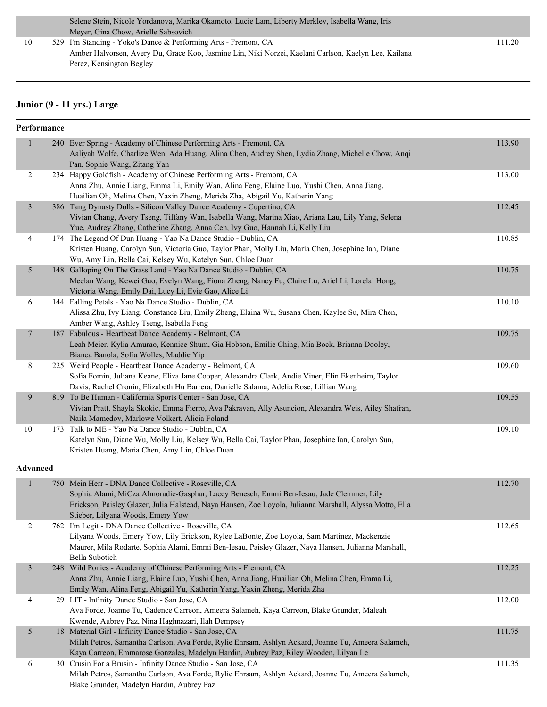|    | Selene Stein, Nicole Yordanova, Marika Okamoto, Lucie Lam, Liberty Merkley, Isabella Wang, Iris      |        |
|----|------------------------------------------------------------------------------------------------------|--------|
|    | Meyer, Gina Chow, Arielle Sabsovich                                                                  |        |
| 10 | 529 I'm Standing - Yoko's Dance & Performing Arts - Fremont, CA                                      | 111.20 |
|    | Amber Halvorsen, Avery Du, Grace Koo, Jasmine Lin, Niki Norzei, Kaelani Carlson, Kaelyn Lee, Kailana |        |
|    | Perez, Kensington Begley                                                                             |        |

## **Junior (9 - 11 yrs.) Large**

| 113.90<br>$\mathbf{1}$<br>240 Ever Spring - Academy of Chinese Performing Arts - Fremont, CA<br>Aaliyah Wolfe, Charlize Wen, Ada Huang, Alina Chen, Audrey Shen, Lydia Zhang, Michelle Chow, Anqi<br>Pan, Sophie Wang, Zitang Yan<br>234 Happy Goldfish - Academy of Chinese Performing Arts - Fremont, CA<br>113.00<br>2<br>Anna Zhu, Annie Liang, Emma Li, Emily Wan, Alina Feng, Elaine Luo, Yushi Chen, Anna Jiang,<br>Huailian Oh, Melina Chen, Yaxin Zheng, Merida Zha, Abigail Yu, Katherin Yang<br>386 Tang Dynasty Dolls - Silicon Valley Dance Academy - Cupertino, CA<br>112.45<br>$\mathfrak{Z}$<br>Vivian Chang, Avery Tseng, Tiffany Wan, Isabella Wang, Marina Xiao, Ariana Lau, Lily Yang, Selena<br>Yue, Audrey Zhang, Catherine Zhang, Anna Cen, Ivy Guo, Hannah Li, Kelly Liu<br>4<br>174 The Legend Of Dun Huang - Yao Na Dance Studio - Dublin, CA<br>110.85<br>Kristen Huang, Carolyn Sun, Victoria Guo, Taylor Phan, Molly Liu, Maria Chen, Josephine Ian, Diane<br>Wu, Amy Lin, Bella Cai, Kelsey Wu, Katelyn Sun, Chloe Duan<br>148 Galloping On The Grass Land - Yao Na Dance Studio - Dublin, CA<br>110.75<br>5<br>Meelan Wang, Kewei Guo, Evelyn Wang, Fiona Zheng, Nancy Fu, Claire Lu, Ariel Li, Lorelai Hong,<br>Victoria Wang, Emily Dai, Lucy Li, Evie Gao, Alice Li<br>144 Falling Petals - Yao Na Dance Studio - Dublin, CA<br>6<br>110.10<br>Alissa Zhu, Ivy Liang, Constance Liu, Emily Zheng, Elaina Wu, Susana Chen, Kaylee Su, Mira Chen,<br>Amber Wang, Ashley Tseng, Isabella Feng<br>187 Fabulous - Heartbeat Dance Academy - Belmont, CA<br>109.75<br>7<br>Leah Meier, Kylia Amurao, Kennice Shum, Gia Hobson, Emilie Ching, Mia Bock, Brianna Dooley,<br>Bianca Banola, Sofia Wolles, Maddie Yip<br>$\,8\,$<br>225 Weird People - Heartbeat Dance Academy - Belmont, CA<br>109.60<br>Sofia Fomin, Juliana Keane, Eliza Jane Cooper, Alexandra Clark, Andie Viner, Elin Ekenheim, Taylor<br>Davis, Rachel Cronin, Elizabeth Hu Barrera, Danielle Salama, Adelia Rose, Lillian Wang<br>9<br>819 To Be Human - California Sports Center - San Jose, CA<br>109.55<br>Vivian Pratt, Shayla Skokic, Emma Fierro, Ava Pakravan, Ally Asuncion, Alexandra Weis, Ailey Shafran,<br>Naila Mamedov, Marlowe Volkert, Alicia Foland<br>10<br>173 Talk to ME - Yao Na Dance Studio - Dublin, CA<br>109.10<br>Katelyn Sun, Diane Wu, Molly Liu, Kelsey Wu, Bella Cai, Taylor Phan, Josephine Ian, Carolyn Sun,<br>Kristen Huang, Maria Chen, Amy Lin, Chloe Duan<br>Advanced<br>112.70<br>$\mathbf{1}$<br>750 Mein Herr - DNA Dance Collective - Roseville, CA<br>Sophia Alami, MiCza Almoradie-Gasphar, Lacey Benesch, Emmi Ben-Iesau, Jade Clemmer, Lily<br>Erickson, Paisley Glazer, Julia Halstead, Naya Hansen, Zoe Loyola, Julianna Marshall, Alyssa Motto, Ella<br>Stieber, Lilyana Woods, Emery Yow<br>2<br>762 I'm Legit - DNA Dance Collective - Roseville, CA<br>112.65<br>Lilyana Woods, Emery Yow, Lily Erickson, Rylee LaBonte, Zoe Loyola, Sam Martinez, Mackenzie<br>Maurer, Mila Rodarte, Sophia Alami, Emmi Ben-Iesau, Paisley Glazer, Naya Hansen, Julianna Marshall,<br>Bella Subotich<br>$\mathfrak{Z}$<br>248 Wild Ponies - Academy of Chinese Performing Arts - Fremont, CA<br>112.25<br>Anna Zhu, Annie Liang, Elaine Luo, Yushi Chen, Anna Jiang, Huailian Oh, Melina Chen, Emma Li,<br>Emily Wan, Alina Feng, Abigail Yu, Katherin Yang, Yaxin Zheng, Merida Zha<br>29 LIT - Infinity Dance Studio - San Jose, CA<br>112.00<br>4<br>Ava Forde, Joanne Tu, Cadence Carreon, Ameera Salameh, Kaya Carreon, Blake Grunder, Maleah<br>Kwende, Aubrey Paz, Nina Haghnazari, Ilah Dempsey<br>18 Material Girl - Infinity Dance Studio - San Jose, CA<br>5<br>111.75<br>Milah Petros, Samantha Carlson, Ava Forde, Rylie Ehrsam, Ashlyn Ackard, Joanne Tu, Ameera Salameh,<br>Kaya Carreon, Emmarose Gonzales, Madelyn Hardin, Aubrey Paz, Riley Wooden, Lilyan Le<br>30 Crusin For a Brusin - Infinity Dance Studio - San Jose, CA<br>111.35<br>6<br>Milah Petros, Samantha Carlson, Ava Forde, Rylie Ehrsam, Ashlyn Ackard, Joanne Tu, Ameera Salameh, | Performance |                                           |  |
|------------------------------------------------------------------------------------------------------------------------------------------------------------------------------------------------------------------------------------------------------------------------------------------------------------------------------------------------------------------------------------------------------------------------------------------------------------------------------------------------------------------------------------------------------------------------------------------------------------------------------------------------------------------------------------------------------------------------------------------------------------------------------------------------------------------------------------------------------------------------------------------------------------------------------------------------------------------------------------------------------------------------------------------------------------------------------------------------------------------------------------------------------------------------------------------------------------------------------------------------------------------------------------------------------------------------------------------------------------------------------------------------------------------------------------------------------------------------------------------------------------------------------------------------------------------------------------------------------------------------------------------------------------------------------------------------------------------------------------------------------------------------------------------------------------------------------------------------------------------------------------------------------------------------------------------------------------------------------------------------------------------------------------------------------------------------------------------------------------------------------------------------------------------------------------------------------------------------------------------------------------------------------------------------------------------------------------------------------------------------------------------------------------------------------------------------------------------------------------------------------------------------------------------------------------------------------------------------------------------------------------------------------------------------------------------------------------------------------------------------------------------------------------------------------------------------------------------------------------------------------------------------------------------------------------------------------------------------------------------------------------------------------------------------------------------------------------------------------------------------------------------------------------------------------------------------------------------------------------------------------------------------------------------------------------------------------------------------------------------------------------------------------------------------------------------------------------------------------------------------------------------------------------------------------------------------------------------------------------------------------------------------------------------------------------------------------------------------------------------------------------------------------------------------------------------------------------------------------------------------------------------------------------------------------------------------------------------------------------------------------------------------------------------------------------------------------------------------------------|-------------|-------------------------------------------|--|
|                                                                                                                                                                                                                                                                                                                                                                                                                                                                                                                                                                                                                                                                                                                                                                                                                                                                                                                                                                                                                                                                                                                                                                                                                                                                                                                                                                                                                                                                                                                                                                                                                                                                                                                                                                                                                                                                                                                                                                                                                                                                                                                                                                                                                                                                                                                                                                                                                                                                                                                                                                                                                                                                                                                                                                                                                                                                                                                                                                                                                                                                                                                                                                                                                                                                                                                                                                                                                                                                                                                                                                                                                                                                                                                                                                                                                                                                                                                                                                                                                                                                                                            |             |                                           |  |
|                                                                                                                                                                                                                                                                                                                                                                                                                                                                                                                                                                                                                                                                                                                                                                                                                                                                                                                                                                                                                                                                                                                                                                                                                                                                                                                                                                                                                                                                                                                                                                                                                                                                                                                                                                                                                                                                                                                                                                                                                                                                                                                                                                                                                                                                                                                                                                                                                                                                                                                                                                                                                                                                                                                                                                                                                                                                                                                                                                                                                                                                                                                                                                                                                                                                                                                                                                                                                                                                                                                                                                                                                                                                                                                                                                                                                                                                                                                                                                                                                                                                                                            |             |                                           |  |
|                                                                                                                                                                                                                                                                                                                                                                                                                                                                                                                                                                                                                                                                                                                                                                                                                                                                                                                                                                                                                                                                                                                                                                                                                                                                                                                                                                                                                                                                                                                                                                                                                                                                                                                                                                                                                                                                                                                                                                                                                                                                                                                                                                                                                                                                                                                                                                                                                                                                                                                                                                                                                                                                                                                                                                                                                                                                                                                                                                                                                                                                                                                                                                                                                                                                                                                                                                                                                                                                                                                                                                                                                                                                                                                                                                                                                                                                                                                                                                                                                                                                                                            |             |                                           |  |
|                                                                                                                                                                                                                                                                                                                                                                                                                                                                                                                                                                                                                                                                                                                                                                                                                                                                                                                                                                                                                                                                                                                                                                                                                                                                                                                                                                                                                                                                                                                                                                                                                                                                                                                                                                                                                                                                                                                                                                                                                                                                                                                                                                                                                                                                                                                                                                                                                                                                                                                                                                                                                                                                                                                                                                                                                                                                                                                                                                                                                                                                                                                                                                                                                                                                                                                                                                                                                                                                                                                                                                                                                                                                                                                                                                                                                                                                                                                                                                                                                                                                                                            |             |                                           |  |
|                                                                                                                                                                                                                                                                                                                                                                                                                                                                                                                                                                                                                                                                                                                                                                                                                                                                                                                                                                                                                                                                                                                                                                                                                                                                                                                                                                                                                                                                                                                                                                                                                                                                                                                                                                                                                                                                                                                                                                                                                                                                                                                                                                                                                                                                                                                                                                                                                                                                                                                                                                                                                                                                                                                                                                                                                                                                                                                                                                                                                                                                                                                                                                                                                                                                                                                                                                                                                                                                                                                                                                                                                                                                                                                                                                                                                                                                                                                                                                                                                                                                                                            |             |                                           |  |
|                                                                                                                                                                                                                                                                                                                                                                                                                                                                                                                                                                                                                                                                                                                                                                                                                                                                                                                                                                                                                                                                                                                                                                                                                                                                                                                                                                                                                                                                                                                                                                                                                                                                                                                                                                                                                                                                                                                                                                                                                                                                                                                                                                                                                                                                                                                                                                                                                                                                                                                                                                                                                                                                                                                                                                                                                                                                                                                                                                                                                                                                                                                                                                                                                                                                                                                                                                                                                                                                                                                                                                                                                                                                                                                                                                                                                                                                                                                                                                                                                                                                                                            |             |                                           |  |
|                                                                                                                                                                                                                                                                                                                                                                                                                                                                                                                                                                                                                                                                                                                                                                                                                                                                                                                                                                                                                                                                                                                                                                                                                                                                                                                                                                                                                                                                                                                                                                                                                                                                                                                                                                                                                                                                                                                                                                                                                                                                                                                                                                                                                                                                                                                                                                                                                                                                                                                                                                                                                                                                                                                                                                                                                                                                                                                                                                                                                                                                                                                                                                                                                                                                                                                                                                                                                                                                                                                                                                                                                                                                                                                                                                                                                                                                                                                                                                                                                                                                                                            |             |                                           |  |
|                                                                                                                                                                                                                                                                                                                                                                                                                                                                                                                                                                                                                                                                                                                                                                                                                                                                                                                                                                                                                                                                                                                                                                                                                                                                                                                                                                                                                                                                                                                                                                                                                                                                                                                                                                                                                                                                                                                                                                                                                                                                                                                                                                                                                                                                                                                                                                                                                                                                                                                                                                                                                                                                                                                                                                                                                                                                                                                                                                                                                                                                                                                                                                                                                                                                                                                                                                                                                                                                                                                                                                                                                                                                                                                                                                                                                                                                                                                                                                                                                                                                                                            |             |                                           |  |
|                                                                                                                                                                                                                                                                                                                                                                                                                                                                                                                                                                                                                                                                                                                                                                                                                                                                                                                                                                                                                                                                                                                                                                                                                                                                                                                                                                                                                                                                                                                                                                                                                                                                                                                                                                                                                                                                                                                                                                                                                                                                                                                                                                                                                                                                                                                                                                                                                                                                                                                                                                                                                                                                                                                                                                                                                                                                                                                                                                                                                                                                                                                                                                                                                                                                                                                                                                                                                                                                                                                                                                                                                                                                                                                                                                                                                                                                                                                                                                                                                                                                                                            |             |                                           |  |
|                                                                                                                                                                                                                                                                                                                                                                                                                                                                                                                                                                                                                                                                                                                                                                                                                                                                                                                                                                                                                                                                                                                                                                                                                                                                                                                                                                                                                                                                                                                                                                                                                                                                                                                                                                                                                                                                                                                                                                                                                                                                                                                                                                                                                                                                                                                                                                                                                                                                                                                                                                                                                                                                                                                                                                                                                                                                                                                                                                                                                                                                                                                                                                                                                                                                                                                                                                                                                                                                                                                                                                                                                                                                                                                                                                                                                                                                                                                                                                                                                                                                                                            |             |                                           |  |
|                                                                                                                                                                                                                                                                                                                                                                                                                                                                                                                                                                                                                                                                                                                                                                                                                                                                                                                                                                                                                                                                                                                                                                                                                                                                                                                                                                                                                                                                                                                                                                                                                                                                                                                                                                                                                                                                                                                                                                                                                                                                                                                                                                                                                                                                                                                                                                                                                                                                                                                                                                                                                                                                                                                                                                                                                                                                                                                                                                                                                                                                                                                                                                                                                                                                                                                                                                                                                                                                                                                                                                                                                                                                                                                                                                                                                                                                                                                                                                                                                                                                                                            |             |                                           |  |
|                                                                                                                                                                                                                                                                                                                                                                                                                                                                                                                                                                                                                                                                                                                                                                                                                                                                                                                                                                                                                                                                                                                                                                                                                                                                                                                                                                                                                                                                                                                                                                                                                                                                                                                                                                                                                                                                                                                                                                                                                                                                                                                                                                                                                                                                                                                                                                                                                                                                                                                                                                                                                                                                                                                                                                                                                                                                                                                                                                                                                                                                                                                                                                                                                                                                                                                                                                                                                                                                                                                                                                                                                                                                                                                                                                                                                                                                                                                                                                                                                                                                                                            |             |                                           |  |
|                                                                                                                                                                                                                                                                                                                                                                                                                                                                                                                                                                                                                                                                                                                                                                                                                                                                                                                                                                                                                                                                                                                                                                                                                                                                                                                                                                                                                                                                                                                                                                                                                                                                                                                                                                                                                                                                                                                                                                                                                                                                                                                                                                                                                                                                                                                                                                                                                                                                                                                                                                                                                                                                                                                                                                                                                                                                                                                                                                                                                                                                                                                                                                                                                                                                                                                                                                                                                                                                                                                                                                                                                                                                                                                                                                                                                                                                                                                                                                                                                                                                                                            |             |                                           |  |
|                                                                                                                                                                                                                                                                                                                                                                                                                                                                                                                                                                                                                                                                                                                                                                                                                                                                                                                                                                                                                                                                                                                                                                                                                                                                                                                                                                                                                                                                                                                                                                                                                                                                                                                                                                                                                                                                                                                                                                                                                                                                                                                                                                                                                                                                                                                                                                                                                                                                                                                                                                                                                                                                                                                                                                                                                                                                                                                                                                                                                                                                                                                                                                                                                                                                                                                                                                                                                                                                                                                                                                                                                                                                                                                                                                                                                                                                                                                                                                                                                                                                                                            |             |                                           |  |
|                                                                                                                                                                                                                                                                                                                                                                                                                                                                                                                                                                                                                                                                                                                                                                                                                                                                                                                                                                                                                                                                                                                                                                                                                                                                                                                                                                                                                                                                                                                                                                                                                                                                                                                                                                                                                                                                                                                                                                                                                                                                                                                                                                                                                                                                                                                                                                                                                                                                                                                                                                                                                                                                                                                                                                                                                                                                                                                                                                                                                                                                                                                                                                                                                                                                                                                                                                                                                                                                                                                                                                                                                                                                                                                                                                                                                                                                                                                                                                                                                                                                                                            |             |                                           |  |
|                                                                                                                                                                                                                                                                                                                                                                                                                                                                                                                                                                                                                                                                                                                                                                                                                                                                                                                                                                                                                                                                                                                                                                                                                                                                                                                                                                                                                                                                                                                                                                                                                                                                                                                                                                                                                                                                                                                                                                                                                                                                                                                                                                                                                                                                                                                                                                                                                                                                                                                                                                                                                                                                                                                                                                                                                                                                                                                                                                                                                                                                                                                                                                                                                                                                                                                                                                                                                                                                                                                                                                                                                                                                                                                                                                                                                                                                                                                                                                                                                                                                                                            |             |                                           |  |
|                                                                                                                                                                                                                                                                                                                                                                                                                                                                                                                                                                                                                                                                                                                                                                                                                                                                                                                                                                                                                                                                                                                                                                                                                                                                                                                                                                                                                                                                                                                                                                                                                                                                                                                                                                                                                                                                                                                                                                                                                                                                                                                                                                                                                                                                                                                                                                                                                                                                                                                                                                                                                                                                                                                                                                                                                                                                                                                                                                                                                                                                                                                                                                                                                                                                                                                                                                                                                                                                                                                                                                                                                                                                                                                                                                                                                                                                                                                                                                                                                                                                                                            |             |                                           |  |
|                                                                                                                                                                                                                                                                                                                                                                                                                                                                                                                                                                                                                                                                                                                                                                                                                                                                                                                                                                                                                                                                                                                                                                                                                                                                                                                                                                                                                                                                                                                                                                                                                                                                                                                                                                                                                                                                                                                                                                                                                                                                                                                                                                                                                                                                                                                                                                                                                                                                                                                                                                                                                                                                                                                                                                                                                                                                                                                                                                                                                                                                                                                                                                                                                                                                                                                                                                                                                                                                                                                                                                                                                                                                                                                                                                                                                                                                                                                                                                                                                                                                                                            |             |                                           |  |
|                                                                                                                                                                                                                                                                                                                                                                                                                                                                                                                                                                                                                                                                                                                                                                                                                                                                                                                                                                                                                                                                                                                                                                                                                                                                                                                                                                                                                                                                                                                                                                                                                                                                                                                                                                                                                                                                                                                                                                                                                                                                                                                                                                                                                                                                                                                                                                                                                                                                                                                                                                                                                                                                                                                                                                                                                                                                                                                                                                                                                                                                                                                                                                                                                                                                                                                                                                                                                                                                                                                                                                                                                                                                                                                                                                                                                                                                                                                                                                                                                                                                                                            |             |                                           |  |
|                                                                                                                                                                                                                                                                                                                                                                                                                                                                                                                                                                                                                                                                                                                                                                                                                                                                                                                                                                                                                                                                                                                                                                                                                                                                                                                                                                                                                                                                                                                                                                                                                                                                                                                                                                                                                                                                                                                                                                                                                                                                                                                                                                                                                                                                                                                                                                                                                                                                                                                                                                                                                                                                                                                                                                                                                                                                                                                                                                                                                                                                                                                                                                                                                                                                                                                                                                                                                                                                                                                                                                                                                                                                                                                                                                                                                                                                                                                                                                                                                                                                                                            |             |                                           |  |
|                                                                                                                                                                                                                                                                                                                                                                                                                                                                                                                                                                                                                                                                                                                                                                                                                                                                                                                                                                                                                                                                                                                                                                                                                                                                                                                                                                                                                                                                                                                                                                                                                                                                                                                                                                                                                                                                                                                                                                                                                                                                                                                                                                                                                                                                                                                                                                                                                                                                                                                                                                                                                                                                                                                                                                                                                                                                                                                                                                                                                                                                                                                                                                                                                                                                                                                                                                                                                                                                                                                                                                                                                                                                                                                                                                                                                                                                                                                                                                                                                                                                                                            |             |                                           |  |
|                                                                                                                                                                                                                                                                                                                                                                                                                                                                                                                                                                                                                                                                                                                                                                                                                                                                                                                                                                                                                                                                                                                                                                                                                                                                                                                                                                                                                                                                                                                                                                                                                                                                                                                                                                                                                                                                                                                                                                                                                                                                                                                                                                                                                                                                                                                                                                                                                                                                                                                                                                                                                                                                                                                                                                                                                                                                                                                                                                                                                                                                                                                                                                                                                                                                                                                                                                                                                                                                                                                                                                                                                                                                                                                                                                                                                                                                                                                                                                                                                                                                                                            |             |                                           |  |
|                                                                                                                                                                                                                                                                                                                                                                                                                                                                                                                                                                                                                                                                                                                                                                                                                                                                                                                                                                                                                                                                                                                                                                                                                                                                                                                                                                                                                                                                                                                                                                                                                                                                                                                                                                                                                                                                                                                                                                                                                                                                                                                                                                                                                                                                                                                                                                                                                                                                                                                                                                                                                                                                                                                                                                                                                                                                                                                                                                                                                                                                                                                                                                                                                                                                                                                                                                                                                                                                                                                                                                                                                                                                                                                                                                                                                                                                                                                                                                                                                                                                                                            |             |                                           |  |
|                                                                                                                                                                                                                                                                                                                                                                                                                                                                                                                                                                                                                                                                                                                                                                                                                                                                                                                                                                                                                                                                                                                                                                                                                                                                                                                                                                                                                                                                                                                                                                                                                                                                                                                                                                                                                                                                                                                                                                                                                                                                                                                                                                                                                                                                                                                                                                                                                                                                                                                                                                                                                                                                                                                                                                                                                                                                                                                                                                                                                                                                                                                                                                                                                                                                                                                                                                                                                                                                                                                                                                                                                                                                                                                                                                                                                                                                                                                                                                                                                                                                                                            |             |                                           |  |
|                                                                                                                                                                                                                                                                                                                                                                                                                                                                                                                                                                                                                                                                                                                                                                                                                                                                                                                                                                                                                                                                                                                                                                                                                                                                                                                                                                                                                                                                                                                                                                                                                                                                                                                                                                                                                                                                                                                                                                                                                                                                                                                                                                                                                                                                                                                                                                                                                                                                                                                                                                                                                                                                                                                                                                                                                                                                                                                                                                                                                                                                                                                                                                                                                                                                                                                                                                                                                                                                                                                                                                                                                                                                                                                                                                                                                                                                                                                                                                                                                                                                                                            |             |                                           |  |
|                                                                                                                                                                                                                                                                                                                                                                                                                                                                                                                                                                                                                                                                                                                                                                                                                                                                                                                                                                                                                                                                                                                                                                                                                                                                                                                                                                                                                                                                                                                                                                                                                                                                                                                                                                                                                                                                                                                                                                                                                                                                                                                                                                                                                                                                                                                                                                                                                                                                                                                                                                                                                                                                                                                                                                                                                                                                                                                                                                                                                                                                                                                                                                                                                                                                                                                                                                                                                                                                                                                                                                                                                                                                                                                                                                                                                                                                                                                                                                                                                                                                                                            |             |                                           |  |
|                                                                                                                                                                                                                                                                                                                                                                                                                                                                                                                                                                                                                                                                                                                                                                                                                                                                                                                                                                                                                                                                                                                                                                                                                                                                                                                                                                                                                                                                                                                                                                                                                                                                                                                                                                                                                                                                                                                                                                                                                                                                                                                                                                                                                                                                                                                                                                                                                                                                                                                                                                                                                                                                                                                                                                                                                                                                                                                                                                                                                                                                                                                                                                                                                                                                                                                                                                                                                                                                                                                                                                                                                                                                                                                                                                                                                                                                                                                                                                                                                                                                                                            |             |                                           |  |
|                                                                                                                                                                                                                                                                                                                                                                                                                                                                                                                                                                                                                                                                                                                                                                                                                                                                                                                                                                                                                                                                                                                                                                                                                                                                                                                                                                                                                                                                                                                                                                                                                                                                                                                                                                                                                                                                                                                                                                                                                                                                                                                                                                                                                                                                                                                                                                                                                                                                                                                                                                                                                                                                                                                                                                                                                                                                                                                                                                                                                                                                                                                                                                                                                                                                                                                                                                                                                                                                                                                                                                                                                                                                                                                                                                                                                                                                                                                                                                                                                                                                                                            |             |                                           |  |
|                                                                                                                                                                                                                                                                                                                                                                                                                                                                                                                                                                                                                                                                                                                                                                                                                                                                                                                                                                                                                                                                                                                                                                                                                                                                                                                                                                                                                                                                                                                                                                                                                                                                                                                                                                                                                                                                                                                                                                                                                                                                                                                                                                                                                                                                                                                                                                                                                                                                                                                                                                                                                                                                                                                                                                                                                                                                                                                                                                                                                                                                                                                                                                                                                                                                                                                                                                                                                                                                                                                                                                                                                                                                                                                                                                                                                                                                                                                                                                                                                                                                                                            |             |                                           |  |
|                                                                                                                                                                                                                                                                                                                                                                                                                                                                                                                                                                                                                                                                                                                                                                                                                                                                                                                                                                                                                                                                                                                                                                                                                                                                                                                                                                                                                                                                                                                                                                                                                                                                                                                                                                                                                                                                                                                                                                                                                                                                                                                                                                                                                                                                                                                                                                                                                                                                                                                                                                                                                                                                                                                                                                                                                                                                                                                                                                                                                                                                                                                                                                                                                                                                                                                                                                                                                                                                                                                                                                                                                                                                                                                                                                                                                                                                                                                                                                                                                                                                                                            |             |                                           |  |
|                                                                                                                                                                                                                                                                                                                                                                                                                                                                                                                                                                                                                                                                                                                                                                                                                                                                                                                                                                                                                                                                                                                                                                                                                                                                                                                                                                                                                                                                                                                                                                                                                                                                                                                                                                                                                                                                                                                                                                                                                                                                                                                                                                                                                                                                                                                                                                                                                                                                                                                                                                                                                                                                                                                                                                                                                                                                                                                                                                                                                                                                                                                                                                                                                                                                                                                                                                                                                                                                                                                                                                                                                                                                                                                                                                                                                                                                                                                                                                                                                                                                                                            |             |                                           |  |
|                                                                                                                                                                                                                                                                                                                                                                                                                                                                                                                                                                                                                                                                                                                                                                                                                                                                                                                                                                                                                                                                                                                                                                                                                                                                                                                                                                                                                                                                                                                                                                                                                                                                                                                                                                                                                                                                                                                                                                                                                                                                                                                                                                                                                                                                                                                                                                                                                                                                                                                                                                                                                                                                                                                                                                                                                                                                                                                                                                                                                                                                                                                                                                                                                                                                                                                                                                                                                                                                                                                                                                                                                                                                                                                                                                                                                                                                                                                                                                                                                                                                                                            |             |                                           |  |
|                                                                                                                                                                                                                                                                                                                                                                                                                                                                                                                                                                                                                                                                                                                                                                                                                                                                                                                                                                                                                                                                                                                                                                                                                                                                                                                                                                                                                                                                                                                                                                                                                                                                                                                                                                                                                                                                                                                                                                                                                                                                                                                                                                                                                                                                                                                                                                                                                                                                                                                                                                                                                                                                                                                                                                                                                                                                                                                                                                                                                                                                                                                                                                                                                                                                                                                                                                                                                                                                                                                                                                                                                                                                                                                                                                                                                                                                                                                                                                                                                                                                                                            |             |                                           |  |
|                                                                                                                                                                                                                                                                                                                                                                                                                                                                                                                                                                                                                                                                                                                                                                                                                                                                                                                                                                                                                                                                                                                                                                                                                                                                                                                                                                                                                                                                                                                                                                                                                                                                                                                                                                                                                                                                                                                                                                                                                                                                                                                                                                                                                                                                                                                                                                                                                                                                                                                                                                                                                                                                                                                                                                                                                                                                                                                                                                                                                                                                                                                                                                                                                                                                                                                                                                                                                                                                                                                                                                                                                                                                                                                                                                                                                                                                                                                                                                                                                                                                                                            |             |                                           |  |
|                                                                                                                                                                                                                                                                                                                                                                                                                                                                                                                                                                                                                                                                                                                                                                                                                                                                                                                                                                                                                                                                                                                                                                                                                                                                                                                                                                                                                                                                                                                                                                                                                                                                                                                                                                                                                                                                                                                                                                                                                                                                                                                                                                                                                                                                                                                                                                                                                                                                                                                                                                                                                                                                                                                                                                                                                                                                                                                                                                                                                                                                                                                                                                                                                                                                                                                                                                                                                                                                                                                                                                                                                                                                                                                                                                                                                                                                                                                                                                                                                                                                                                            |             |                                           |  |
|                                                                                                                                                                                                                                                                                                                                                                                                                                                                                                                                                                                                                                                                                                                                                                                                                                                                                                                                                                                                                                                                                                                                                                                                                                                                                                                                                                                                                                                                                                                                                                                                                                                                                                                                                                                                                                                                                                                                                                                                                                                                                                                                                                                                                                                                                                                                                                                                                                                                                                                                                                                                                                                                                                                                                                                                                                                                                                                                                                                                                                                                                                                                                                                                                                                                                                                                                                                                                                                                                                                                                                                                                                                                                                                                                                                                                                                                                                                                                                                                                                                                                                            |             |                                           |  |
|                                                                                                                                                                                                                                                                                                                                                                                                                                                                                                                                                                                                                                                                                                                                                                                                                                                                                                                                                                                                                                                                                                                                                                                                                                                                                                                                                                                                                                                                                                                                                                                                                                                                                                                                                                                                                                                                                                                                                                                                                                                                                                                                                                                                                                                                                                                                                                                                                                                                                                                                                                                                                                                                                                                                                                                                                                                                                                                                                                                                                                                                                                                                                                                                                                                                                                                                                                                                                                                                                                                                                                                                                                                                                                                                                                                                                                                                                                                                                                                                                                                                                                            |             |                                           |  |
|                                                                                                                                                                                                                                                                                                                                                                                                                                                                                                                                                                                                                                                                                                                                                                                                                                                                                                                                                                                                                                                                                                                                                                                                                                                                                                                                                                                                                                                                                                                                                                                                                                                                                                                                                                                                                                                                                                                                                                                                                                                                                                                                                                                                                                                                                                                                                                                                                                                                                                                                                                                                                                                                                                                                                                                                                                                                                                                                                                                                                                                                                                                                                                                                                                                                                                                                                                                                                                                                                                                                                                                                                                                                                                                                                                                                                                                                                                                                                                                                                                                                                                            |             |                                           |  |
|                                                                                                                                                                                                                                                                                                                                                                                                                                                                                                                                                                                                                                                                                                                                                                                                                                                                                                                                                                                                                                                                                                                                                                                                                                                                                                                                                                                                                                                                                                                                                                                                                                                                                                                                                                                                                                                                                                                                                                                                                                                                                                                                                                                                                                                                                                                                                                                                                                                                                                                                                                                                                                                                                                                                                                                                                                                                                                                                                                                                                                                                                                                                                                                                                                                                                                                                                                                                                                                                                                                                                                                                                                                                                                                                                                                                                                                                                                                                                                                                                                                                                                            |             |                                           |  |
|                                                                                                                                                                                                                                                                                                                                                                                                                                                                                                                                                                                                                                                                                                                                                                                                                                                                                                                                                                                                                                                                                                                                                                                                                                                                                                                                                                                                                                                                                                                                                                                                                                                                                                                                                                                                                                                                                                                                                                                                                                                                                                                                                                                                                                                                                                                                                                                                                                                                                                                                                                                                                                                                                                                                                                                                                                                                                                                                                                                                                                                                                                                                                                                                                                                                                                                                                                                                                                                                                                                                                                                                                                                                                                                                                                                                                                                                                                                                                                                                                                                                                                            |             |                                           |  |
|                                                                                                                                                                                                                                                                                                                                                                                                                                                                                                                                                                                                                                                                                                                                                                                                                                                                                                                                                                                                                                                                                                                                                                                                                                                                                                                                                                                                                                                                                                                                                                                                                                                                                                                                                                                                                                                                                                                                                                                                                                                                                                                                                                                                                                                                                                                                                                                                                                                                                                                                                                                                                                                                                                                                                                                                                                                                                                                                                                                                                                                                                                                                                                                                                                                                                                                                                                                                                                                                                                                                                                                                                                                                                                                                                                                                                                                                                                                                                                                                                                                                                                            |             |                                           |  |
|                                                                                                                                                                                                                                                                                                                                                                                                                                                                                                                                                                                                                                                                                                                                                                                                                                                                                                                                                                                                                                                                                                                                                                                                                                                                                                                                                                                                                                                                                                                                                                                                                                                                                                                                                                                                                                                                                                                                                                                                                                                                                                                                                                                                                                                                                                                                                                                                                                                                                                                                                                                                                                                                                                                                                                                                                                                                                                                                                                                                                                                                                                                                                                                                                                                                                                                                                                                                                                                                                                                                                                                                                                                                                                                                                                                                                                                                                                                                                                                                                                                                                                            |             |                                           |  |
|                                                                                                                                                                                                                                                                                                                                                                                                                                                                                                                                                                                                                                                                                                                                                                                                                                                                                                                                                                                                                                                                                                                                                                                                                                                                                                                                                                                                                                                                                                                                                                                                                                                                                                                                                                                                                                                                                                                                                                                                                                                                                                                                                                                                                                                                                                                                                                                                                                                                                                                                                                                                                                                                                                                                                                                                                                                                                                                                                                                                                                                                                                                                                                                                                                                                                                                                                                                                                                                                                                                                                                                                                                                                                                                                                                                                                                                                                                                                                                                                                                                                                                            |             |                                           |  |
|                                                                                                                                                                                                                                                                                                                                                                                                                                                                                                                                                                                                                                                                                                                                                                                                                                                                                                                                                                                                                                                                                                                                                                                                                                                                                                                                                                                                                                                                                                                                                                                                                                                                                                                                                                                                                                                                                                                                                                                                                                                                                                                                                                                                                                                                                                                                                                                                                                                                                                                                                                                                                                                                                                                                                                                                                                                                                                                                                                                                                                                                                                                                                                                                                                                                                                                                                                                                                                                                                                                                                                                                                                                                                                                                                                                                                                                                                                                                                                                                                                                                                                            |             |                                           |  |
|                                                                                                                                                                                                                                                                                                                                                                                                                                                                                                                                                                                                                                                                                                                                                                                                                                                                                                                                                                                                                                                                                                                                                                                                                                                                                                                                                                                                                                                                                                                                                                                                                                                                                                                                                                                                                                                                                                                                                                                                                                                                                                                                                                                                                                                                                                                                                                                                                                                                                                                                                                                                                                                                                                                                                                                                                                                                                                                                                                                                                                                                                                                                                                                                                                                                                                                                                                                                                                                                                                                                                                                                                                                                                                                                                                                                                                                                                                                                                                                                                                                                                                            |             |                                           |  |
|                                                                                                                                                                                                                                                                                                                                                                                                                                                                                                                                                                                                                                                                                                                                                                                                                                                                                                                                                                                                                                                                                                                                                                                                                                                                                                                                                                                                                                                                                                                                                                                                                                                                                                                                                                                                                                                                                                                                                                                                                                                                                                                                                                                                                                                                                                                                                                                                                                                                                                                                                                                                                                                                                                                                                                                                                                                                                                                                                                                                                                                                                                                                                                                                                                                                                                                                                                                                                                                                                                                                                                                                                                                                                                                                                                                                                                                                                                                                                                                                                                                                                                            |             |                                           |  |
|                                                                                                                                                                                                                                                                                                                                                                                                                                                                                                                                                                                                                                                                                                                                                                                                                                                                                                                                                                                                                                                                                                                                                                                                                                                                                                                                                                                                                                                                                                                                                                                                                                                                                                                                                                                                                                                                                                                                                                                                                                                                                                                                                                                                                                                                                                                                                                                                                                                                                                                                                                                                                                                                                                                                                                                                                                                                                                                                                                                                                                                                                                                                                                                                                                                                                                                                                                                                                                                                                                                                                                                                                                                                                                                                                                                                                                                                                                                                                                                                                                                                                                            |             |                                           |  |
|                                                                                                                                                                                                                                                                                                                                                                                                                                                                                                                                                                                                                                                                                                                                                                                                                                                                                                                                                                                                                                                                                                                                                                                                                                                                                                                                                                                                                                                                                                                                                                                                                                                                                                                                                                                                                                                                                                                                                                                                                                                                                                                                                                                                                                                                                                                                                                                                                                                                                                                                                                                                                                                                                                                                                                                                                                                                                                                                                                                                                                                                                                                                                                                                                                                                                                                                                                                                                                                                                                                                                                                                                                                                                                                                                                                                                                                                                                                                                                                                                                                                                                            |             |                                           |  |
|                                                                                                                                                                                                                                                                                                                                                                                                                                                                                                                                                                                                                                                                                                                                                                                                                                                                                                                                                                                                                                                                                                                                                                                                                                                                                                                                                                                                                                                                                                                                                                                                                                                                                                                                                                                                                                                                                                                                                                                                                                                                                                                                                                                                                                                                                                                                                                                                                                                                                                                                                                                                                                                                                                                                                                                                                                                                                                                                                                                                                                                                                                                                                                                                                                                                                                                                                                                                                                                                                                                                                                                                                                                                                                                                                                                                                                                                                                                                                                                                                                                                                                            |             |                                           |  |
|                                                                                                                                                                                                                                                                                                                                                                                                                                                                                                                                                                                                                                                                                                                                                                                                                                                                                                                                                                                                                                                                                                                                                                                                                                                                                                                                                                                                                                                                                                                                                                                                                                                                                                                                                                                                                                                                                                                                                                                                                                                                                                                                                                                                                                                                                                                                                                                                                                                                                                                                                                                                                                                                                                                                                                                                                                                                                                                                                                                                                                                                                                                                                                                                                                                                                                                                                                                                                                                                                                                                                                                                                                                                                                                                                                                                                                                                                                                                                                                                                                                                                                            |             | Blake Grunder, Madelyn Hardin, Aubrey Paz |  |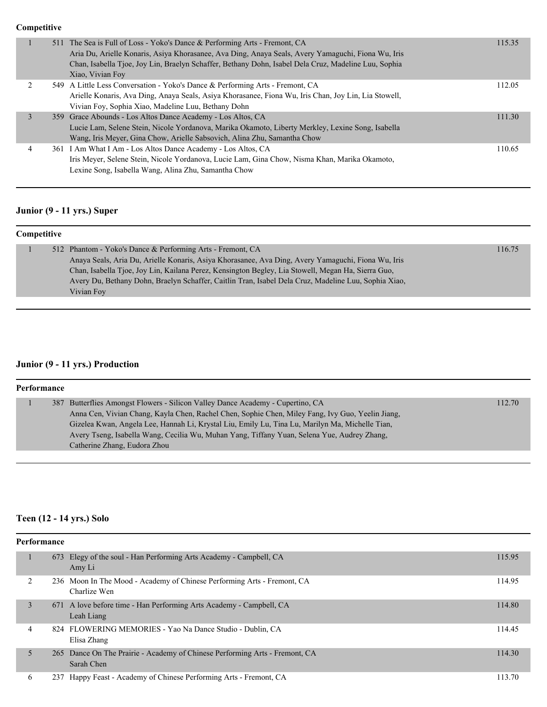|   | 511 The Sea is Full of Loss - Yoko's Dance & Performing Arts - Fremont, CA<br>Aria Du, Arielle Konaris, Asiya Khorasanee, Ava Ding, Anaya Seals, Avery Yamaguchi, Fiona Wu, Iris<br>Chan, Isabella Tjoe, Joy Lin, Braelyn Schaffer, Bethany Dohn, Isabel Dela Cruz, Madeline Luu, Sophia | 115.35 |
|---|------------------------------------------------------------------------------------------------------------------------------------------------------------------------------------------------------------------------------------------------------------------------------------------|--------|
|   | Xiao, Vivian Foy                                                                                                                                                                                                                                                                         |        |
|   | 549 A Little Less Conversation - Yoko's Dance & Performing Arts - Fremont, CA                                                                                                                                                                                                            | 112.05 |
|   | Arielle Konaris, Ava Ding, Anaya Seals, Asiya Khorasanee, Fiona Wu, Iris Chan, Joy Lin, Lia Stowell,<br>Vivian Foy, Sophia Xiao, Madeline Luu, Bethany Dohn                                                                                                                              |        |
|   | 359 Grace Abounds - Los Altos Dance Academy - Los Altos, CA                                                                                                                                                                                                                              | 111.30 |
|   | Lucie Lam, Selene Stein, Nicole Yordanova, Marika Okamoto, Liberty Merkley, Lexine Song, Isabella                                                                                                                                                                                        |        |
|   | Wang, Iris Meyer, Gina Chow, Arielle Sabsovich, Alina Zhu, Samantha Chow                                                                                                                                                                                                                 |        |
| 4 | 361 I Am What I Am - Los Altos Dance Academy - Los Altos, CA                                                                                                                                                                                                                             | 110.65 |
|   | Iris Meyer, Selene Stein, Nicole Yordanova, Lucie Lam, Gina Chow, Nisma Khan, Marika Okamoto,                                                                                                                                                                                            |        |
|   | Lexine Song, Isabella Wang, Alina Zhu, Samantha Chow                                                                                                                                                                                                                                     |        |

## **Junior (9 - 11 yrs.) Super**

| <b>Competitive</b> |  |                                                                                                      |        |
|--------------------|--|------------------------------------------------------------------------------------------------------|--------|
|                    |  | 512 Phantom - Yoko's Dance & Performing Arts - Fremont, CA                                           | 116.75 |
|                    |  | Anaya Seals, Aria Du, Arielle Konaris, Asiya Khorasanee, Ava Ding, Avery Yamaguchi, Fiona Wu, Iris   |        |
|                    |  | Chan, Isabella Tjoe, Joy Lin, Kailana Perez, Kensington Begley, Lia Stowell, Megan Ha, Sierra Guo,   |        |
|                    |  | Avery Du, Bethany Dohn, Braelyn Schaffer, Caitlin Tran, Isabel Dela Cruz, Madeline Luu, Sophia Xiao, |        |
|                    |  | Vivian Foy                                                                                           |        |

## **Junior (9 - 11 yrs.) Production**

| Performance |  |                                                                                                  |        |
|-------------|--|--------------------------------------------------------------------------------------------------|--------|
|             |  | 387 Butterflies Amongst Flowers - Silicon Valley Dance Academy - Cupertino, CA                   | 112.70 |
|             |  | Anna Cen, Vivian Chang, Kayla Chen, Rachel Chen, Sophie Chen, Miley Fang, Ivy Guo, Yeelin Jiang, |        |
|             |  | Gizelea Kwan, Angela Lee, Hannah Li, Krystal Liu, Emily Lu, Tina Lu, Marilyn Ma, Michelle Tian,  |        |
|             |  | Avery Tseng, Isabella Wang, Cecilia Wu, Muhan Yang, Tiffany Yuan, Selena Yue, Audrey Zhang,      |        |
|             |  | Catherine Zhang, Eudora Zhou                                                                     |        |

## **Teen (12 - 14 yrs.) Solo**

| Performance |     |                                                                                           |        |  |
|-------------|-----|-------------------------------------------------------------------------------------------|--------|--|
|             |     | 673 Elegy of the soul - Han Performing Arts Academy - Campbell, CA<br>Amy Li              | 115.95 |  |
|             |     | 236 Moon In The Mood - Academy of Chinese Performing Arts - Fremont, CA<br>Charlize Wen   | 114.95 |  |
| 3           |     | 671 A love before time - Han Performing Arts Academy - Campbell, CA<br>Leah Liang         | 114.80 |  |
| 4           |     | 824 FLOWERING MEMORIES - Yao Na Dance Studio - Dublin, CA<br>Elisa Zhang                  | 114.45 |  |
| 5           |     | 265 Dance On The Prairie - Academy of Chinese Performing Arts - Fremont, CA<br>Sarah Chen | 114.30 |  |
| 6           | 237 | Happy Feast - Academy of Chinese Performing Arts - Fremont, CA                            | 113.70 |  |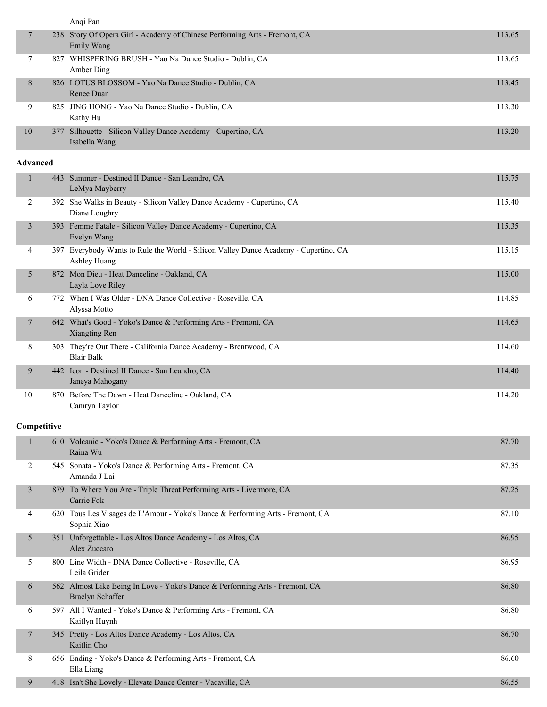|                 | Anqi Pan                                                                                             |        |
|-----------------|------------------------------------------------------------------------------------------------------|--------|
| 7               | 238 Story Of Opera Girl - Academy of Chinese Performing Arts - Fremont, CA<br>Emily Wang             | 113.65 |
| 7               | 827 WHISPERING BRUSH - Yao Na Dance Studio - Dublin, CA<br>Amber Ding                                | 113.65 |
| 8               | 826 LOTUS BLOSSOM - Yao Na Dance Studio - Dublin, CA<br>Renee Duan                                   | 113.45 |
| 9               | 825 JING HONG - Yao Na Dance Studio - Dublin, CA<br>Kathy Hu                                         | 113.30 |
| 10              | 377 Silhouette - Silicon Valley Dance Academy - Cupertino, CA<br>Isabella Wang                       | 113.20 |
| <b>Advanced</b> |                                                                                                      |        |
| $\mathbf{1}$    | 443 Summer - Destined II Dance - San Leandro, CA<br>LeMya Mayberry                                   | 115.75 |
| 2               | 392 She Walks in Beauty - Silicon Valley Dance Academy - Cupertino, CA<br>Diane Loughry              | 115.40 |
| 3               | 393 Femme Fatale - Silicon Valley Dance Academy - Cupertino, CA<br>Evelyn Wang                       | 115.35 |
| 4               | 397 Everybody Wants to Rule the World - Silicon Valley Dance Academy - Cupertino, CA<br>Ashley Huang | 115.15 |
| 5               | 872 Mon Dieu - Heat Danceline - Oakland, CA<br>Layla Love Riley                                      | 115.00 |
| 6               | 772 When I Was Older - DNA Dance Collective - Roseville, CA<br>Alyssa Motto                          | 114.85 |
| $\tau$          | 642 What's Good - Yoko's Dance & Performing Arts - Fremont, CA<br>Xiangting Ren                      | 114.65 |
| 8               | 303 They're Out There - California Dance Academy - Brentwood, CA<br><b>Blair Balk</b>                | 114.60 |
| 9               | 442 Icon - Destined II Dance - San Leandro, CA<br>Janeya Mahogany                                    | 114.40 |
| 10              | 870 Before The Dawn - Heat Danceline - Oakland, CA<br>Camryn Taylor                                  | 114.20 |
| Competitive     |                                                                                                      |        |
| $\mathbf{1}$    | 610 Volcanic - Yoko's Dance & Performing Arts - Fremont, CA<br>Raina Wu                              | 87.70  |
| 2               | 545 Sonata - Yoko's Dance & Performing Arts - Fremont, CA<br>Amanda J Lai                            | 87.35  |
| 3               | 879 To Where You Are - Triple Threat Performing Arts - Livermore, CA<br>Carrie Fok                   | 87.25  |
| 4               | 620 Tous Les Visages de L'Amour - Yoko's Dance & Performing Arts - Fremont, CA<br>Sophia Xiao        | 87.10  |
| 5               | 351 Unforgettable - Los Altos Dance Academy - Los Altos, CA<br>Alex Zuccaro                          | 86.95  |
| 5               | 800 Line Width - DNA Dance Collective - Roseville, CA<br>Leila Grider                                | 86.95  |
| 6               | 562 Almost Like Being In Love - Yoko's Dance & Performing Arts - Fremont, CA<br>Braelyn Schaffer     | 86.80  |
| 6               | 597 All I Wanted - Yoko's Dance & Performing Arts - Fremont, CA<br>Kaitlyn Huynh                     | 86.80  |
| 7               | 345 Pretty - Los Altos Dance Academy - Los Altos, CA<br>Kaitlin Cho                                  | 86.70  |
| 8               | 656 Ending - Yoko's Dance & Performing Arts - Fremont, CA<br>Ella Liang                              | 86.60  |
| 9               | 418 Isn't She Lovely - Elevate Dance Center - Vacaville, CA                                          | 86.55  |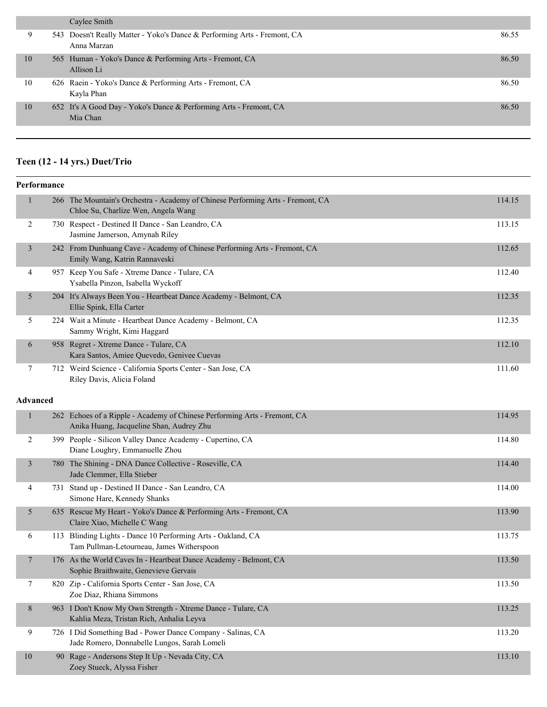|    | Caylee Smith                                                                            |       |
|----|-----------------------------------------------------------------------------------------|-------|
| 9  | 543 Doesn't Really Matter - Yoko's Dance & Performing Arts - Fremont, CA<br>Anna Marzan | 86.55 |
| 10 | 565 Human - Yoko's Dance & Performing Arts - Fremont, CA<br>Allison Li                  | 86.50 |
| 10 | 626 Raein - Yoko's Dance & Performing Arts - Fremont, CA<br>Kayla Phan                  | 86.50 |
| 10 | 652 It's A Good Day - Yoko's Dance & Performing Arts - Fremont, CA<br>Mia Chan          | 86.50 |
|    |                                                                                         |       |

## **Teen (12 - 14 yrs.) Duet/Trio**

|                  | Performance |                                                                                                                        |        |
|------------------|-------------|------------------------------------------------------------------------------------------------------------------------|--------|
| $\mathbf{1}$     |             | 266 The Mountain's Orchestra - Academy of Chinese Performing Arts - Fremont, CA<br>Chloe Su, Charlize Wen, Angela Wang | 114.15 |
| 2                |             | 730 Respect - Destined II Dance - San Leandro, CA<br>Jasmine Jamerson, Amynah Riley                                    | 113.15 |
| $\mathfrak{Z}$   |             | 242 From Dunhuang Cave - Academy of Chinese Performing Arts - Fremont, CA<br>Emily Wang, Katrin Rannaveski             | 112.65 |
| 4                |             | 957 Keep You Safe - Xtreme Dance - Tulare, CA<br>Ysabella Pinzon, Isabella Wyckoff                                     | 112.40 |
| 5                |             | 204 It's Always Been You - Heartbeat Dance Academy - Belmont, CA<br>Ellie Spink, Ella Carter                           | 112.35 |
| 5                |             | 224 Wait a Minute - Heartbeat Dance Academy - Belmont, CA<br>Sammy Wright, Kimi Haggard                                | 112.35 |
| 6                |             | 958 Regret - Xtreme Dance - Tulare, CA<br>Kara Santos, Amiee Quevedo, Genivee Cuevas                                   | 112.10 |
| 7                |             | 712 Weird Science - California Sports Center - San Jose, CA<br>Riley Davis, Alicia Foland                              | 111.60 |
| <b>Advanced</b>  |             |                                                                                                                        |        |
| $\mathbf{1}$     |             | 262 Echoes of a Ripple - Academy of Chinese Performing Arts - Fremont, CA<br>Anika Huang, Jacqueline Shan, Audrey Zhu  | 114.95 |
| 2                |             | 399 People - Silicon Valley Dance Academy - Cupertino, CA<br>Diane Loughry, Emmanuelle Zhou                            | 114.80 |
| $\mathfrak{Z}$   |             | 780 The Shining - DNA Dance Collective - Roseville, CA<br>Jade Clemmer, Ella Stieber                                   | 114.40 |
| 4                |             | 731 Stand up - Destined II Dance - San Leandro, CA<br>Simone Hare, Kennedy Shanks                                      | 114.00 |
| 5                |             | 635 Rescue My Heart - Yoko's Dance & Performing Arts - Fremont, CA<br>Claire Xiao, Michelle C Wang                     | 113.90 |
| 6                |             | 113 Blinding Lights - Dance 10 Performing Arts - Oakland, CA<br>Tam Pullman-Letourneau, James Witherspoon              | 113.75 |
| 7                |             | 176 As the World Caves In - Heartbeat Dance Academy - Belmont, CA<br>Sophie Braithwaite, Genevieve Gervais             | 113.50 |
| $\boldsymbol{7}$ |             | 820 Zip - California Sports Center - San Jose, CA<br>Zoe Diaz, Rhiana Simmons                                          | 113.50 |
| 8                |             | 963 I Don't Know My Own Strength - Xtreme Dance - Tulare, CA<br>Kahlia Meza, Tristan Rich, Anhalia Leyva               | 113.25 |
| 9                |             | 726 I Did Something Bad - Power Dance Company - Salinas, CA<br>Jade Romero, Donnabelle Lungos, Sarah Lomeli            | 113.20 |
| 10               |             | 90 Rage - Andersons Step It Up - Nevada City, CA<br>Zoey Stueck, Alyssa Fisher                                         | 113.10 |
|                  |             |                                                                                                                        |        |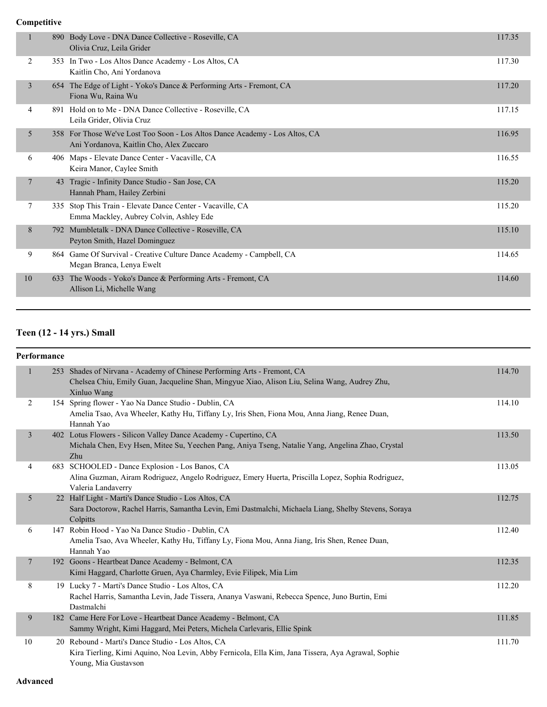|                |     | 890 Body Love - DNA Dance Collective - Roseville, CA<br>Olivia Cruz, Leila Grider                                       | 117.35 |
|----------------|-----|-------------------------------------------------------------------------------------------------------------------------|--------|
| 2              | 353 | In Two - Los Altos Dance Academy - Los Altos, CA<br>Kaitlin Cho, Ani Yordanova                                          | 117.30 |
| 3              |     | 654 The Edge of Light - Yoko's Dance & Performing Arts - Fremont, CA<br>Fiona Wu, Raina Wu                              | 117.20 |
| 4              | 891 | Hold on to Me - DNA Dance Collective - Roseville, CA<br>Leila Grider, Olivia Cruz                                       | 117.15 |
| 5              |     | 358 For Those We've Lost Too Soon - Los Altos Dance Academy - Los Altos, CA<br>Ani Yordanova, Kaitlin Cho, Alex Zuccaro | 116.95 |
| 6              |     | 406 Maps - Elevate Dance Center - Vacaville, CA<br>Keira Manor, Caylee Smith                                            | 116.55 |
| $\overline{7}$ | 43  | Tragic - Infinity Dance Studio - San Jose, CA<br>Hannah Pham, Hailey Zerbini                                            | 115.20 |
| 7              | 335 | Stop This Train - Elevate Dance Center - Vacaville, CA<br>Emma Mackley, Aubrey Colvin, Ashley Ede                       | 115.20 |
| 8              | 792 | Mumbletalk - DNA Dance Collective - Roseville, CA<br>Peyton Smith, Hazel Dominguez                                      | 115.10 |
| 9              |     | 864 Game Of Survival - Creative Culture Dance Academy - Campbell, CA<br>Megan Branca, Lenya Ewelt                       | 114.65 |
| 10             | 633 | The Woods - Yoko's Dance & Performing Arts - Fremont, CA<br>Allison Li, Michelle Wang                                   | 114.60 |
|                |     |                                                                                                                         |        |

## **Teen (12 - 14 yrs.) Small**

#### **Performance**

| 1              | 253 Shades of Nirvana - Academy of Chinese Performing Arts - Fremont, CA<br>Chelsea Chiu, Emily Guan, Jacqueline Shan, Mingyue Xiao, Alison Liu, Selina Wang, Audrey Zhu,<br>Xinluo Wang | 114.70 |
|----------------|------------------------------------------------------------------------------------------------------------------------------------------------------------------------------------------|--------|
| 2              | 154 Spring flower - Yao Na Dance Studio - Dublin, CA<br>Amelia Tsao, Ava Wheeler, Kathy Hu, Tiffany Ly, Iris Shen, Fiona Mou, Anna Jiang, Renee Duan,<br>Hannah Yao                      | 114.10 |
| $\overline{3}$ | 402 Lotus Flowers - Silicon Valley Dance Academy - Cupertino, CA<br>Michala Chen, Evy Hsen, Mitee Su, Yeechen Pang, Aniya Tseng, Natalie Yang, Angelina Zhao, Crystal<br>Zhu             | 113.50 |
| 4              | 683 SCHOOLED - Dance Explosion - Los Banos, CA<br>Alina Guzman, Airam Rodriguez, Angelo Rodriguez, Emery Huerta, Priscilla Lopez, Sophia Rodriguez,<br>Valeria Landaverry                | 113.05 |
| 5              | 22 Half Light - Marti's Dance Studio - Los Altos, CA<br>Sara Doctorow, Rachel Harris, Samantha Levin, Emi Dastmalchi, Michaela Liang, Shelby Stevens, Soraya<br>Colpitts                 | 112.75 |
| 6              | 147 Robin Hood - Yao Na Dance Studio - Dublin, CA<br>Amelia Tsao, Ava Wheeler, Kathy Hu, Tiffany Ly, Fiona Mou, Anna Jiang, Iris Shen, Renee Duan,<br>Hannah Yao                         | 112.40 |
| $\overline{7}$ | 192 Goons - Heartbeat Dance Academy - Belmont, CA<br>Kimi Haggard, Charlotte Gruen, Aya Charmley, Evie Filipek, Mia Lim                                                                  | 112.35 |
| 8              | 19 Lucky 7 - Marti's Dance Studio - Los Altos, CA<br>Rachel Harris, Samantha Levin, Jade Tissera, Ananya Vaswani, Rebecca Spence, Juno Burtin, Emi<br>Dastmalchi                         | 112.20 |
| 9              | 182 Came Here For Love - Heartbeat Dance Academy - Belmont, CA<br>Sammy Wright, Kimi Haggard, Mei Peters, Michela Carlevaris, Ellie Spink                                                | 111.85 |
| 10             | 20 Rebound - Marti's Dance Studio - Los Altos, CA<br>Kira Tierling, Kimi Aquino, Noa Levin, Abby Fernicola, Ella Kim, Jana Tissera, Aya Agrawal, Sophie<br>Young, Mia Gustavson          | 111.70 |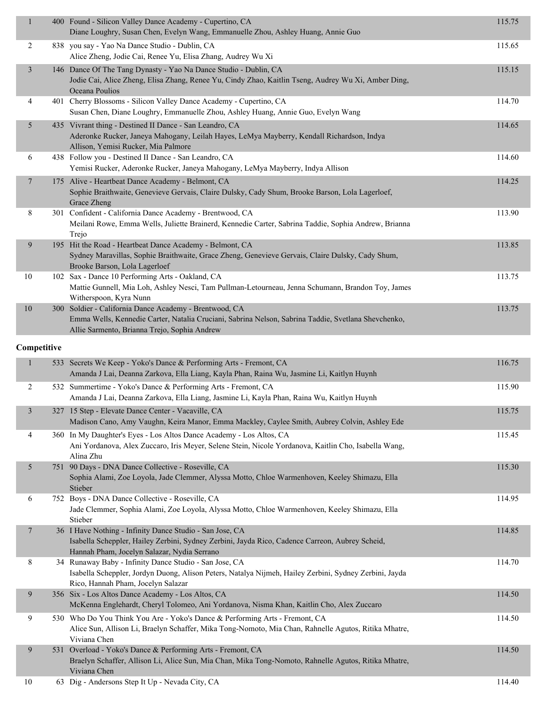| $\mathbf{1}$   | 400 Found - Silicon Valley Dance Academy - Cupertino, CA<br>Diane Loughry, Susan Chen, Evelyn Wang, Emmanuelle Zhou, Ashley Huang, Annie Guo                                                                  | 115.75 |
|----------------|---------------------------------------------------------------------------------------------------------------------------------------------------------------------------------------------------------------|--------|
| $\overline{c}$ | 838 you say - Yao Na Dance Studio - Dublin, CA<br>Alice Zheng, Jodie Cai, Renee Yu, Elisa Zhang, Audrey Wu Xi                                                                                                 | 115.65 |
| $\mathfrak{Z}$ | 146 Dance Of The Tang Dynasty - Yao Na Dance Studio - Dublin, CA<br>Jodie Cai, Alice Zheng, Elisa Zhang, Renee Yu, Cindy Zhao, Kaitlin Tseng, Audrey Wu Xi, Amber Ding,<br>Oceana Poulios                     | 115.15 |
| 4              | 401 Cherry Blossoms - Silicon Valley Dance Academy - Cupertino, CA<br>Susan Chen, Diane Loughry, Emmanuelle Zhou, Ashley Huang, Annie Guo, Evelyn Wang                                                        | 114.70 |
| 5              | 435 Vivrant thing - Destined II Dance - San Leandro, CA<br>Aderonke Rucker, Janeya Mahogany, Leilah Hayes, LeMya Mayberry, Kendall Richardson, Indya<br>Allison, Yemisi Rucker, Mia Palmore                   | 114.65 |
| 6              | 438 Follow you - Destined II Dance - San Leandro, CA<br>Yemisi Rucker, Aderonke Rucker, Janeya Mahogany, LeMya Mayberry, Indya Allison                                                                        | 114.60 |
| 7              | 175 Alive - Heartbeat Dance Academy - Belmont, CA<br>Sophie Braithwaite, Genevieve Gervais, Claire Dulsky, Cady Shum, Brooke Barson, Lola Lagerloef,<br>Grace Zheng                                           | 114.25 |
| 8              | 301 Confident - California Dance Academy - Brentwood, CA<br>Meilani Rowe, Emma Wells, Juliette Brainerd, Kennedie Carter, Sabrina Taddie, Sophia Andrew, Brianna<br>Trejo                                     | 113.90 |
| 9              | 195 Hit the Road - Heartbeat Dance Academy - Belmont, CA<br>Sydney Maravillas, Sophie Braithwaite, Grace Zheng, Genevieve Gervais, Claire Dulsky, Cady Shum,<br>Brooke Barson, Lola Lagerloef                 | 113.85 |
| 10             | 102 Sax - Dance 10 Performing Arts - Oakland, CA<br>Mattie Gunnell, Mia Loh, Ashley Nesci, Tam Pullman-Letourneau, Jenna Schumann, Brandon Toy, James<br>Witherspoon, Kyra Nunn                               | 113.75 |
| $10\,$         | 300 Soldier - California Dance Academy - Brentwood, CA<br>Emma Wells, Kennedie Carter, Natalia Cruciani, Sabrina Nelson, Sabrina Taddie, Svetlana Shevchenko,<br>Allie Sarmento, Brianna Trejo, Sophia Andrew | 113.75 |
| Competitive    |                                                                                                                                                                                                               |        |
| $\mathbf{1}$   | 533 Secrets We Keep - Yoko's Dance & Performing Arts - Fremont, CA<br>Amanda J Lai, Deanna Zarkova, Ella Liang, Kayla Phan, Raina Wu, Jasmine Li, Kaitlyn Huynh                                               | 116.75 |
| 2              | 532 Summertime - Yoko's Dance & Performing Arts - Fremont, CA<br>Amanda J Lai, Deanna Zarkova, Ella Liang, Jasmine Li, Kayla Phan, Raina Wu, Kaitlyn Huynh                                                    | 115.90 |
| 3              | 327 15 Step - Elevate Dance Center - Vacaville, CA<br>Madison Cano, Amy Vaughn, Keira Manor, Emma Mackley, Caylee Smith, Aubrey Colvin, Ashley Ede                                                            | 115.75 |
| 4              | 360 In My Daughter's Eyes - Los Altos Dance Academy - Los Altos, CA<br>Ani Yordanova, Alex Zuccaro, Iris Meyer, Selene Stein, Nicole Yordanova, Kaitlin Cho, Isabella Wang,<br>Alina Zhu                      | 115.45 |
| 5              | 751 90 Days - DNA Dance Collective - Roseville, CA<br>Sophia Alami, Zoe Loyola, Jade Clemmer, Alyssa Motto, Chloe Warmenhoven, Keeley Shimazu, Ella<br>Stieber                                                | 115.30 |
| 6              | 752 Boys - DNA Dance Collective - Roseville, CA<br>Jade Clemmer, Sophia Alami, Zoe Loyola, Alyssa Motto, Chloe Warmenhoven, Keeley Shimazu, Ella<br>Stieber                                                   | 114.95 |
| 7              | 36 I Have Nothing - Infinity Dance Studio - San Jose, CA<br>Isabella Scheppler, Hailey Zerbini, Sydney Zerbini, Jayda Rico, Cadence Carreon, Aubrey Scheid,<br>Hannah Pham, Jocelyn Salazar, Nydia Serrano    | 114.85 |
| 8              | 34 Runaway Baby - Infinity Dance Studio - San Jose, CA<br>Isabella Scheppler, Jordyn Duong, Alison Peters, Natalya Nijmeh, Hailey Zerbini, Sydney Zerbini, Jayda<br>Rico, Hannah Pham, Jocelyn Salazar        | 114.70 |
| 9              | 356 Six - Los Altos Dance Academy - Los Altos, CA<br>McKenna Englehardt, Cheryl Tolomeo, Ani Yordanova, Nisma Khan, Kaitlin Cho, Alex Zuccaro                                                                 | 114.50 |
| 9              | 530 Who Do You Think You Are - Yoko's Dance & Performing Arts - Fremont, CA<br>Alice Sun, Allison Li, Braelyn Schaffer, Mika Tong-Nomoto, Mia Chan, Rahnelle Agutos, Ritika Mhatre,<br>Viviana Chen           | 114.50 |
| 9              | 531 Overload - Yoko's Dance & Performing Arts - Fremont, CA<br>Braelyn Schaffer, Allison Li, Alice Sun, Mia Chan, Mika Tong-Nomoto, Rahnelle Agutos, Ritika Mhatre,<br>Viviana Chen                           | 114.50 |
| 10             | 63 Dig - Andersons Step It Up - Nevada City, CA                                                                                                                                                               | 114.40 |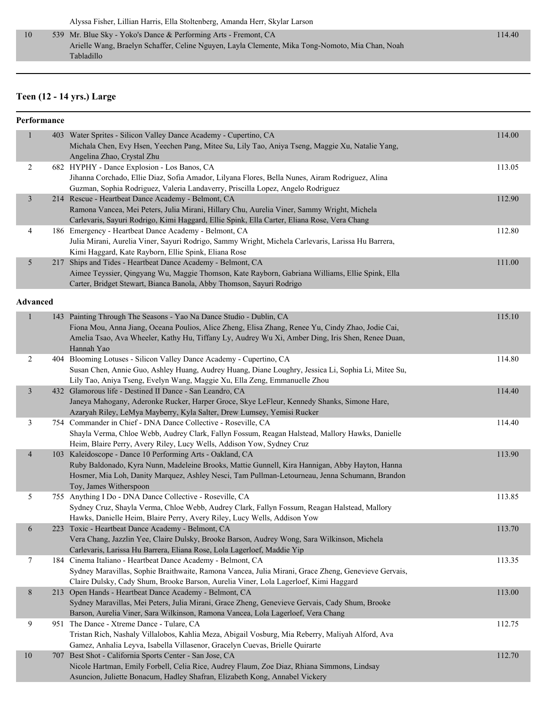Alyssa Fisher, Lillian Harris, Ella Stoltenberg, Amanda Herr, Skylar Larson

 10 539 Mr. Blue Sky - Yoko's Dance & Performing Arts - Fremont, CA 114.40 Arielle Wang, Braelyn Schaffer, Celine Nguyen, Layla Clemente, Mika Tong-Nomoto, Mia Chan, Noah Tabladillo

#### **Teen (12 - 14 yrs.) Large**

#### **Performance**

| $\mathbf{1}$    | 403 Water Sprites - Silicon Valley Dance Academy - Cupertino, CA<br>Michala Chen, Evy Hsen, Yeechen Pang, Mitee Su, Lily Tao, Aniya Tseng, Maggie Xu, Natalie Yang,                                                                                                                        | 114.00 |
|-----------------|--------------------------------------------------------------------------------------------------------------------------------------------------------------------------------------------------------------------------------------------------------------------------------------------|--------|
|                 | Angelina Zhao, Crystal Zhu                                                                                                                                                                                                                                                                 |        |
| $\overline{c}$  | 682 HYPHY - Dance Explosion - Los Banos, CA<br>Jihanna Corchado, Ellie Diaz, Sofia Amador, Lilyana Flores, Bella Nunes, Airam Rodriguez, Alina<br>Guzman, Sophia Rodriguez, Valeria Landaverry, Priscilla Lopez, Angelo Rodriguez                                                          | 113.05 |
| $\mathfrak{Z}$  | 214 Rescue - Heartbeat Dance Academy - Belmont, CA<br>Ramona Vancea, Mei Peters, Julia Mirani, Hillary Chu, Aurelia Viner, Sammy Wright, Michela<br>Carlevaris, Sayuri Rodrigo, Kimi Haggard, Ellie Spink, Ella Carter, Eliana Rose, Vera Chang                                            | 112.90 |
| 4               | 186 Emergency - Heartbeat Dance Academy - Belmont, CA<br>Julia Mirani, Aurelia Viner, Sayuri Rodrigo, Sammy Wright, Michela Carlevaris, Larissa Hu Barrera,<br>Kimi Haggard, Kate Rayborn, Ellie Spink, Eliana Rose                                                                        | 112.80 |
| 5               | 217 Ships and Tides - Heartbeat Dance Academy - Belmont, CA<br>Aimee Teyssier, Qingyang Wu, Maggie Thomson, Kate Rayborn, Gabriana Williams, Ellie Spink, Ella<br>Carter, Bridget Stewart, Bianca Banola, Abby Thomson, Sayuri Rodrigo                                                     | 111.00 |
| <b>Advanced</b> |                                                                                                                                                                                                                                                                                            |        |
| $\mathbf{1}$    | 143 Painting Through The Seasons - Yao Na Dance Studio - Dublin, CA<br>Fiona Mou, Anna Jiang, Oceana Poulios, Alice Zheng, Elisa Zhang, Renee Yu, Cindy Zhao, Jodie Cai,<br>Amelia Tsao, Ava Wheeler, Kathy Hu, Tiffany Ly, Audrey Wu Xi, Amber Ding, Iris Shen, Renee Duan,<br>Hannah Yao | 115.10 |
| $\overline{c}$  | 404 Blooming Lotuses - Silicon Valley Dance Academy - Cupertino, CA<br>Susan Chen, Annie Guo, Ashley Huang, Audrey Huang, Diane Loughry, Jessica Li, Sophia Li, Mitee Su,<br>Lily Tao, Aniya Tseng, Evelyn Wang, Maggie Xu, Ella Zeng, Emmanuelle Zhou                                     | 114.80 |
| $\mathfrak{Z}$  | 432 Glamorous life - Destined II Dance - San Leandro, CA<br>Janeya Mahogany, Aderonke Rucker, Harper Groce, Skye LeFleur, Kennedy Shanks, Simone Hare,<br>Azaryah Riley, LeMya Mayberry, Kyla Salter, Drew Lumsey, Yemisi Rucker                                                           | 114.40 |
| $\mathfrak{Z}$  | 754 Commander in Chief - DNA Dance Collective - Roseville, CA<br>Shayla Verma, Chloe Webb, Audrey Clark, Fallyn Fossum, Reagan Halstead, Mallory Hawks, Danielle<br>Heim, Blaire Perry, Avery Riley, Lucy Wells, Addison Yow, Sydney Cruz                                                  | 114.40 |
| $\overline{4}$  | 103 Kaleidoscope - Dance 10 Performing Arts - Oakland, CA<br>Ruby Baldonado, Kyra Nunn, Madeleine Brooks, Mattie Gunnell, Kira Hannigan, Abby Hayton, Hanna<br>Hosmer, Mia Loh, Danity Marquez, Ashley Nesci, Tam Pullman-Letourneau, Jenna Schumann, Brandon<br>Toy, James Witherspoon    | 113.90 |
| 5               | 755 Anything I Do - DNA Dance Collective - Roseville, CA<br>Sydney Cruz, Shayla Verma, Chloe Webb, Audrey Clark, Fallyn Fossum, Reagan Halstead, Mallory<br>Hawks, Danielle Heim, Blaire Perry, Avery Riley, Lucy Wells, Addison Yow                                                       | 113.85 |
| 6               | 223 Toxic - Heartbeat Dance Academy - Belmont, CA<br>Vera Chang, Jazzlin Yee, Claire Dulsky, Brooke Barson, Audrey Wong, Sara Wilkinson, Michela<br>Carlevaris, Larissa Hu Barrera, Eliana Rose, Lola Lagerloef, Maddie Yip                                                                | 113.70 |
| 7               | 184 Cinema Italiano - Heartbeat Dance Academy - Belmont, CA<br>Sydney Maravillas, Sophie Braithwaite, Ramona Vancea, Julia Mirani, Grace Zheng, Genevieve Gervais,<br>Claire Dulsky, Cady Shum, Brooke Barson, Aurelia Viner, Lola Lagerloef, Kimi Haggard                                 | 113.35 |
| $8\,$           | 213 Open Hands - Heartbeat Dance Academy - Belmont, CA<br>Sydney Maravillas, Mei Peters, Julia Mirani, Grace Zheng, Genevieve Gervais, Cady Shum, Brooke<br>Barson, Aurelia Viner, Sara Wilkinson, Ramona Vancea, Lola Lagerloef, Vera Chang                                               | 113.00 |
| 9               | 951 The Dance - Xtreme Dance - Tulare, CA<br>Tristan Rich, Nashaly Villalobos, Kahlia Meza, Abigail Vosburg, Mia Reberry, Maliyah Alford, Ava<br>Gamez, Anhalia Leyva, Isabella Villasenor, Gracelyn Cuevas, Brielle Quirarte                                                              | 112.75 |
| 10              | 707 Best Shot - California Sports Center - San Jose, CA<br>Nicole Hartman, Emily Forbell, Celia Rice, Audrey Flaum, Zoe Diaz, Rhiana Simmons, Lindsay<br>Asuncion, Juliette Bonacum, Hadley Shafran, Elizabeth Kong, Annabel Vickery                                                       | 112.70 |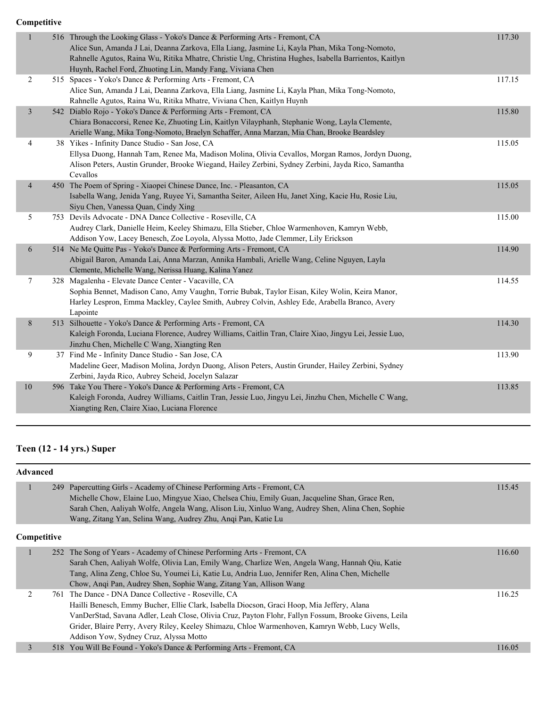| $\mathbf{1}$   | 516 Through the Looking Glass - Yoko's Dance & Performing Arts - Fremont, CA<br>Alice Sun, Amanda J Lai, Deanna Zarkova, Ella Liang, Jasmine Li, Kayla Phan, Mika Tong-Nomoto,<br>Rahnelle Agutos, Raina Wu, Ritika Mhatre, Christie Ung, Christina Hughes, Isabella Barrientos, Kaitlyn<br>Huynh, Rachel Ford, Zhuoting Lin, Mandy Fang, Viviana Chen | 117.30 |
|----------------|--------------------------------------------------------------------------------------------------------------------------------------------------------------------------------------------------------------------------------------------------------------------------------------------------------------------------------------------------------|--------|
| 2              | 515 Spaces - Yoko's Dance & Performing Arts - Fremont, CA<br>Alice Sun, Amanda J Lai, Deanna Zarkova, Ella Liang, Jasmine Li, Kayla Phan, Mika Tong-Nomoto,<br>Rahnelle Agutos, Raina Wu, Ritika Mhatre, Viviana Chen, Kaitlyn Huynh                                                                                                                   | 117.15 |
| 3              | 542 Diablo Rojo - Yoko's Dance & Performing Arts - Fremont, CA<br>Chiara Bonaccorsi, Renee Ke, Zhuoting Lin, Kaitlyn Vilayphanh, Stephanie Wong, Layla Clemente,<br>Arielle Wang, Mika Tong-Nomoto, Braelyn Schaffer, Anna Marzan, Mia Chan, Brooke Beardsley                                                                                          | 115.80 |
| $\overline{4}$ | 38 Yikes - Infinity Dance Studio - San Jose, CA<br>Ellysa Duong, Hannah Tam, Renee Ma, Madison Molina, Olivia Cevallos, Morgan Ramos, Jordyn Duong,<br>Alison Peters, Austin Grunder, Brooke Wiegand, Hailey Zerbini, Sydney Zerbini, Jayda Rico, Samantha<br>Cevallos                                                                                 | 115.05 |
| $\overline{4}$ | 450 The Poem of Spring - Xiaopei Chinese Dance, Inc. - Pleasanton, CA<br>Isabella Wang, Jenida Yang, Ruyee Yi, Samantha Seiter, Aileen Hu, Janet Xing, Kacie Hu, Rosie Liu,<br>Siyu Chen, Vanessa Quan, Cindy Xing                                                                                                                                     | 115.05 |
| 5              | 753 Devils Advocate - DNA Dance Collective - Roseville, CA<br>Audrey Clark, Danielle Heim, Keeley Shimazu, Ella Stieber, Chloe Warmenhoven, Kamryn Webb,<br>Addison Yow, Lacey Benesch, Zoe Loyola, Alyssa Motto, Jade Clemmer, Lily Erickson                                                                                                          | 115.00 |
| 6              | 514 Ne Me Quitte Pas - Yoko's Dance & Performing Arts - Fremont, CA<br>Abigail Baron, Amanda Lai, Anna Marzan, Annika Hambali, Arielle Wang, Celine Nguyen, Layla<br>Clemente, Michelle Wang, Nerissa Huang, Kalina Yanez                                                                                                                              | 114.90 |
| $\tau$         | 328 Magalenha - Elevate Dance Center - Vacaville, CA<br>Sophia Bennet, Madison Cano, Amy Vaughn, Torrie Bubak, Taylor Eisan, Kiley Wolin, Keira Manor,<br>Harley Lespron, Emma Mackley, Caylee Smith, Aubrey Colvin, Ashley Ede, Arabella Branco, Avery<br>Lapointe                                                                                    | 114.55 |
| 8              | 513 Silhouette - Yoko's Dance & Performing Arts - Fremont, CA<br>Kaleigh Foronda, Luciana Florence, Audrey Williams, Caitlin Tran, Claire Xiao, Jingyu Lei, Jessie Luo,<br>Jinzhu Chen, Michelle C Wang, Xiangting Ren                                                                                                                                 | 114.30 |
| 9              | 37 Find Me - Infinity Dance Studio - San Jose, CA<br>Madeline Geer, Madison Molina, Jordyn Duong, Alison Peters, Austin Grunder, Hailey Zerbini, Sydney<br>Zerbini, Jayda Rico, Aubrey Scheid, Jocelyn Salazar                                                                                                                                         | 113.90 |
| $10\,$         | 596 Take You There - Yoko's Dance & Performing Arts - Fremont, CA<br>Kaleigh Foronda, Audrey Williams, Caitlin Tran, Jessie Luo, Jingyu Lei, Jinzhu Chen, Michelle C Wang,<br>Xiangting Ren, Claire Xiao, Luciana Florence                                                                                                                             | 113.85 |
|                |                                                                                                                                                                                                                                                                                                                                                        |        |

#### **Teen (12 - 14 yrs.) Super**

**Advanced** 1 249 Papercutting Girls - Academy of Chinese Performing Arts - Fremont, CA 115.45 Michelle Chow, Elaine Luo, Mingyue Xiao, Chelsea Chiu, Emily Guan, Jacqueline Shan, Grace Ren, Sarah Chen, Aaliyah Wolfe, Angela Wang, Alison Liu, Xinluo Wang, Audrey Shen, Alina Chen, Sophie Wang, Zitang Yan, Selina Wang, Audrey Zhu, Anqi Pan, Katie Lu **Competitive** 1 252 The Song of Years - Academy of Chinese Performing Arts - Fremont, CA 116.60 Sarah Chen, Aaliyah Wolfe, Olivia Lan, Emily Wang, Charlize Wen, Angela Wang, Hannah Qiu, Katie Tang, Alina Zeng, Chloe Su, Youmei Li, Katie Lu, Andria Luo, Jennifer Ren, Alina Chen, Michelle Chow, Anqi Pan, Audrey Shen, Sophie Wang, Zitang Yan, Allison Wang 2 761 The Dance - DNA Dance Collective - Roseville, CA 116.25 Hailli Benesch, Emmy Bucher, Ellie Clark, Isabella Diocson, Graci Hoop, Mia Jeffery, Alana VanDerStad, Savana Adler, Leah Close, Olivia Cruz, Payton Flohr, Fallyn Fossum, Brooke Givens, Leila Grider, Blaire Perry, Avery Riley, Keeley Shimazu, Chloe Warmenhoven, Kamryn Webb, Lucy Wells, Addison Yow, Sydney Cruz, Alyssa Motto 3 518 You Will Be Found - Yoko's Dance & Performing Arts - Fremont, CA 116.05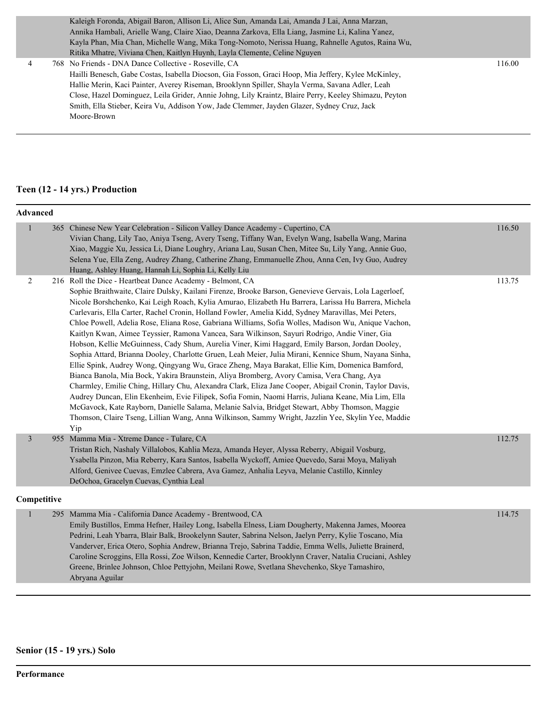Kaleigh Foronda, Abigail Baron, Allison Li, Alice Sun, Amanda Lai, Amanda J Lai, Anna Marzan, Annika Hambali, Arielle Wang, Claire Xiao, Deanna Zarkova, Ella Liang, Jasmine Li, Kalina Yanez, Kayla Phan, Mia Chan, Michelle Wang, Mika Tong-Nomoto, Nerissa Huang, Rahnelle Agutos, Raina Wu, Ritika Mhatre, Viviana Chen, Kaitlyn Huynh, Layla Clemente, Celine Nguyen

 4 768 No Friends - DNA Dance Collective - Roseville, CA 116.00 Hailli Benesch, Gabe Costas, Isabella Diocson, Gia Fosson, Graci Hoop, Mia Jeffery, Kylee McKinley, Hallie Merin, Kaci Painter, Averey Riseman, Brooklynn Spiller, Shayla Verma, Savana Adler, Leah Close, Hazel Dominguez, Leila Grider, Annie Johng, Lily Kraintz, Blaire Perry, Keeley Shimazu, Peyton Smith, Ella Stieber, Keira Vu, Addison Yow, Jade Clemmer, Jayden Glazer, Sydney Cruz, Jack Moore-Brown

#### **Teen (12 - 14 yrs.) Production**

| <b>Advanced</b> |                                                                                                                                                                                                                                                                                                                                                                                                                                                                                                                                                                                                                                                                                                                                                                                                                                                                                                                                                                                                                                                                                                                                                                                                                                                                                                                                                                                                                                      |        |
|-----------------|--------------------------------------------------------------------------------------------------------------------------------------------------------------------------------------------------------------------------------------------------------------------------------------------------------------------------------------------------------------------------------------------------------------------------------------------------------------------------------------------------------------------------------------------------------------------------------------------------------------------------------------------------------------------------------------------------------------------------------------------------------------------------------------------------------------------------------------------------------------------------------------------------------------------------------------------------------------------------------------------------------------------------------------------------------------------------------------------------------------------------------------------------------------------------------------------------------------------------------------------------------------------------------------------------------------------------------------------------------------------------------------------------------------------------------------|--------|
| $\mathbf{1}$    | 365 Chinese New Year Celebration - Silicon Valley Dance Academy - Cupertino, CA<br>Vivian Chang, Lily Tao, Aniya Tseng, Avery Tseng, Tiffany Wan, Evelyn Wang, Isabella Wang, Marina<br>Xiao, Maggie Xu, Jessica Li, Diane Loughry, Ariana Lau, Susan Chen, Mitee Su, Lily Yang, Annie Guo,<br>Selena Yue, Ella Zeng, Audrey Zhang, Catherine Zhang, Emmanuelle Zhou, Anna Cen, Ivy Guo, Audrey<br>Huang, Ashley Huang, Hannah Li, Sophia Li, Kelly Liu                                                                                                                                                                                                                                                                                                                                                                                                                                                                                                                                                                                                                                                                                                                                                                                                                                                                                                                                                                              | 116.50 |
| 2               | 216 Roll the Dice - Heartbeat Dance Academy - Belmont, CA<br>Sophie Braithwaite, Claire Dulsky, Kailani Firenze, Brooke Barson, Genevieve Gervais, Lola Lagerloef,<br>Nicole Borshchenko, Kai Leigh Roach, Kylia Amurao, Elizabeth Hu Barrera, Larissa Hu Barrera, Michela<br>Carlevaris, Ella Carter, Rachel Cronin, Holland Fowler, Amelia Kidd, Sydney Maravillas, Mei Peters,<br>Chloe Powell, Adelia Rose, Eliana Rose, Gabriana Williams, Sofia Wolles, Madison Wu, Anique Vachon,<br>Kaitlyn Kwan, Aimee Teyssier, Ramona Vancea, Sara Wilkinson, Sayuri Rodrigo, Andie Viner, Gia<br>Hobson, Kellie McGuinness, Cady Shum, Aurelia Viner, Kimi Haggard, Emily Barson, Jordan Dooley,<br>Sophia Attard, Brianna Dooley, Charlotte Gruen, Leah Meier, Julia Mirani, Kennice Shum, Nayana Sinha,<br>Ellie Spink, Audrey Wong, Qingyang Wu, Grace Zheng, Maya Barakat, Ellie Kim, Domenica Bamford,<br>Bianca Banola, Mia Bock, Yakira Braunstein, Aliya Bromberg, Avory Camisa, Vera Chang, Aya<br>Charmley, Emilie Ching, Hillary Chu, Alexandra Clark, Eliza Jane Cooper, Abigail Cronin, Taylor Davis,<br>Audrey Duncan, Elin Ekenheim, Evie Filipek, Sofia Fomin, Naomi Harris, Juliana Keane, Mia Lim, Ella<br>McGavock, Kate Rayborn, Danielle Salama, Melanie Salvia, Bridget Stewart, Abby Thomson, Maggie<br>Thomson, Claire Tseng, Lillian Wang, Anna Wilkinson, Sammy Wright, Jazzlin Yee, Skylin Yee, Maddie<br>Yip | 113.75 |
| $\mathfrak{Z}$  | 955 Mamma Mia - Xtreme Dance - Tulare, CA<br>Tristan Rich, Nashaly Villalobos, Kahlia Meza, Amanda Heyer, Alyssa Reberry, Abigail Vosburg,<br>Ysabella Pinzon, Mia Reberry, Kara Santos, Isabella Wyckoff, Amiee Quevedo, Sarai Moya, Maliyah<br>Alford, Genivee Cuevas, Emzlee Cabrera, Ava Gamez, Anhalia Leyva, Melanie Castillo, Kinnley<br>DeOchoa, Gracelyn Cuevas, Cynthia Leal                                                                                                                                                                                                                                                                                                                                                                                                                                                                                                                                                                                                                                                                                                                                                                                                                                                                                                                                                                                                                                               | 112.75 |
| Competitive     |                                                                                                                                                                                                                                                                                                                                                                                                                                                                                                                                                                                                                                                                                                                                                                                                                                                                                                                                                                                                                                                                                                                                                                                                                                                                                                                                                                                                                                      |        |
| $\mathbf{1}$    | 295 Mamma Mia - California Dance Academy - Brentwood, CA<br>Emily Bustillos, Emma Hefner, Hailey Long, Isabella Elness, Liam Dougherty, Makenna James, Moorea<br>Pedrini, Leah Ybarra, Blair Balk, Brookelynn Sauter, Sabrina Nelson, Jaelyn Perry, Kylie Toscano, Mia<br>Vanderver, Erica Otero, Sophia Andrew, Brianna Trejo, Sabrina Taddie, Emma Wells, Juliette Brainerd,<br>Caroline Scroggins, Ella Rossi, Zoe Wilson, Kennedie Carter, Brooklynn Craver, Natalia Cruciani, Ashley<br>Greene, Brinlee Johnson, Chloe Pettyjohn, Meilani Rowe, Svetlana Shevchenko, Skye Tamashiro,<br>Abryana Aguilar                                                                                                                                                                                                                                                                                                                                                                                                                                                                                                                                                                                                                                                                                                                                                                                                                         | 114.75 |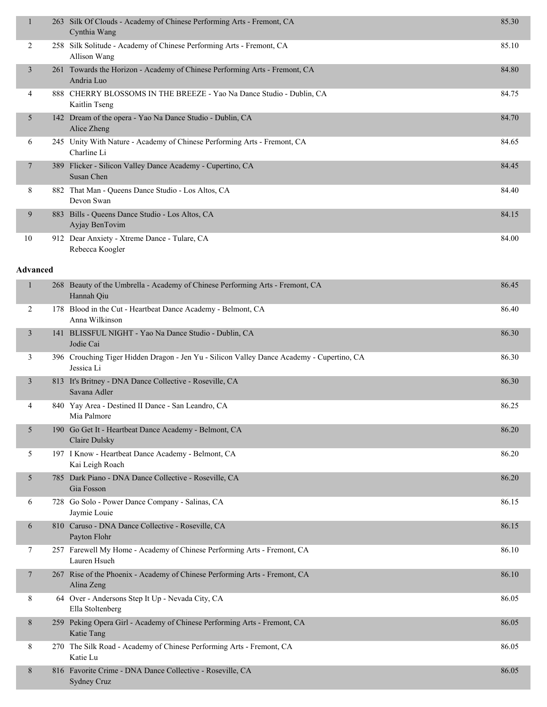| $\mathbf{1}$    |     | 263 Silk Of Clouds - Academy of Chinese Performing Arts - Fremont, CA<br>Cynthia Wang                   | 85.30 |
|-----------------|-----|---------------------------------------------------------------------------------------------------------|-------|
| 2               |     | 258 Silk Solitude - Academy of Chinese Performing Arts - Fremont, CA<br>Allison Wang                    | 85.10 |
| $\mathfrak{Z}$  |     | 261 Towards the Horizon - Academy of Chinese Performing Arts - Fremont, CA<br>Andria Luo                | 84.80 |
| 4               |     | 888 CHERRY BLOSSOMS IN THE BREEZE - Yao Na Dance Studio - Dublin, CA<br>Kaitlin Tseng                   | 84.75 |
| 5               |     | 142 Dream of the opera - Yao Na Dance Studio - Dublin, CA<br>Alice Zheng                                | 84.70 |
| 6               |     | 245 Unity With Nature - Academy of Chinese Performing Arts - Fremont, CA<br>Charline Li                 | 84.65 |
| 7               |     | 389 Flicker - Silicon Valley Dance Academy - Cupertino, CA<br>Susan Chen                                | 84.45 |
| 8               |     | 882 That Man - Queens Dance Studio - Los Altos, CA<br>Devon Swan                                        | 84.40 |
| 9               |     | 883 Bills - Queens Dance Studio - Los Altos, CA<br>Ayjay BenTovim                                       | 84.15 |
| 10              |     | 912 Dear Anxiety - Xtreme Dance - Tulare, CA<br>Rebecca Koogler                                         | 84.00 |
| <b>Advanced</b> |     |                                                                                                         |       |
| 1               |     | 268 Beauty of the Umbrella - Academy of Chinese Performing Arts - Fremont, CA<br>Hannah Qiu             | 86.45 |
| 2               |     | 178 Blood in the Cut - Heartbeat Dance Academy - Belmont, CA<br>Anna Wilkinson                          | 86.40 |
| 3               |     | 141 BLISSFUL NIGHT - Yao Na Dance Studio - Dublin, CA<br>Jodie Cai                                      | 86.30 |
| 3               |     | 396 Crouching Tiger Hidden Dragon - Jen Yu - Silicon Valley Dance Academy - Cupertino, CA<br>Jessica Li | 86.30 |
| 3               |     | 813 It's Britney - DNA Dance Collective - Roseville, CA<br>Savana Adler                                 | 86.30 |
| 4               |     | 840 Yay Area - Destined II Dance - San Leandro, CA<br>Mia Palmore                                       | 86.25 |
| 5               | 190 | Go Get It - Heartbeat Dance Academy - Belmont, CA<br><b>Claire Dulsky</b>                               | 86.20 |
| 5               |     | 197 I Know - Heartbeat Dance Academy - Belmont, CA<br>Kai Leigh Roach                                   | 86.20 |
| 5               |     | 785 Dark Piano - DNA Dance Collective - Roseville, CA<br>Gia Fosson                                     | 86.20 |
| 6               |     | 728 Go Solo - Power Dance Company - Salinas, CA<br>Jaymie Louie                                         | 86.15 |
| 6               |     | 810 Caruso - DNA Dance Collective - Roseville, CA<br>Payton Flohr                                       | 86.15 |
| 7               |     | 257 Farewell My Home - Academy of Chinese Performing Arts - Fremont, CA<br>Lauren Hsueh                 | 86.10 |
| 7               |     | 267 Rise of the Phoenix - Academy of Chinese Performing Arts - Fremont, CA<br>Alina Zeng                | 86.10 |
| 8               |     | 64 Over - Andersons Step It Up - Nevada City, CA<br>Ella Stoltenberg                                    | 86.05 |
| 8               |     | 259 Peking Opera Girl - Academy of Chinese Performing Arts - Fremont, CA<br>Katie Tang                  | 86.05 |
| 8               |     | 270 The Silk Road - Academy of Chinese Performing Arts - Fremont, CA<br>Katie Lu                        | 86.05 |
| 8               |     | 816 Favorite Crime - DNA Dance Collective - Roseville, CA<br><b>Sydney Cruz</b>                         | 86.05 |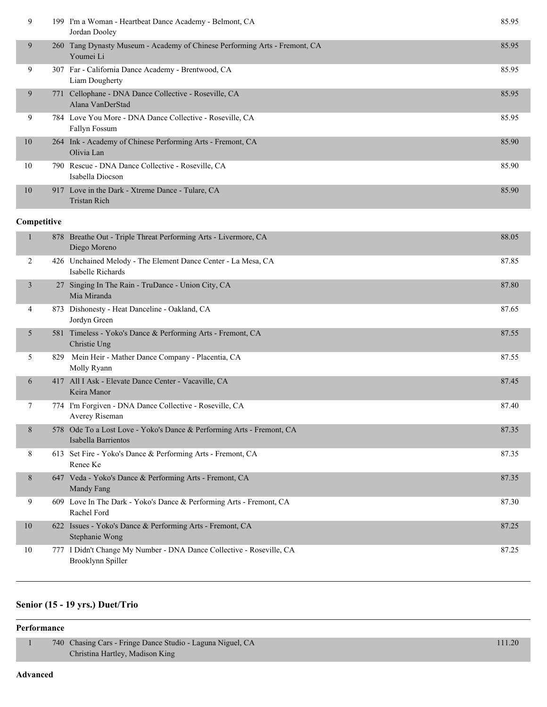| 9  |     | 199 I'm a Woman - Heartbeat Dance Academy - Belmont, CA<br>Jordan Dooley                | 85.95 |
|----|-----|-----------------------------------------------------------------------------------------|-------|
| 9  |     | 260 Tang Dynasty Museum - Academy of Chinese Performing Arts - Fremont, CA<br>Youmei Li | 85.95 |
| 9  |     | 307 Far - California Dance Academy - Brentwood, CA<br>Liam Dougherty                    | 85.95 |
| 9  | 771 | Cellophane - DNA Dance Collective - Roseville, CA<br>Alana VanDerStad                   | 85.95 |
| 9  |     | 784 Love You More - DNA Dance Collective - Roseville, CA<br><b>Fallyn Fossum</b>        | 85.95 |
| 10 |     | 264 Ink - Academy of Chinese Performing Arts - Fremont, CA<br>Olivia Lan                | 85.90 |
| 10 |     | 790 Rescue - DNA Dance Collective - Roseville, CA<br>Isabella Diocson                   | 85.90 |
| 10 |     | 917 Love in the Dark - Xtreme Dance - Tulare, CA<br><b>Tristan Rich</b>                 | 85.90 |

|    | 878 Breathe Out - Triple Threat Performing Arts - Livermore, CA<br>Diego Moreno              | 88.05 |
|----|----------------------------------------------------------------------------------------------|-------|
| 2  | 426 Unchained Melody - The Element Dance Center - La Mesa, CA<br>Isabelle Richards           | 87.85 |
| 3  | 27 Singing In The Rain - TruDance - Union City, CA<br>Mia Miranda                            | 87.80 |
| 4  | 873 Dishonesty - Heat Danceline - Oakland, CA<br>Jordyn Green                                | 87.65 |
| 5  | 581 Timeless - Yoko's Dance & Performing Arts - Fremont, CA<br>Christie Ung                  | 87.55 |
| 5  | 829 Mein Heir - Mather Dance Company - Placentia, CA<br>Molly Ryann                          | 87.55 |
| 6  | 417 All I Ask - Elevate Dance Center - Vacaville, CA<br>Keira Manor                          | 87.45 |
| 7  | 774 I'm Forgiven - DNA Dance Collective - Roseville, CA<br>Averey Riseman                    | 87.40 |
| 8  | 578 Ode To a Lost Love - Yoko's Dance & Performing Arts - Fremont, CA<br>Isabella Barrientos | 87.35 |
| 8  | 613 Set Fire - Yoko's Dance & Performing Arts - Fremont, CA<br>Renee Ke                      | 87.35 |
| 8  | 647 Veda - Yoko's Dance & Performing Arts - Fremont, CA<br>Mandy Fang                        | 87.35 |
| 9  | 609 Love In The Dark - Yoko's Dance & Performing Arts - Fremont, CA<br>Rachel Ford           | 87.30 |
| 10 | 622 Issues - Yoko's Dance & Performing Arts - Fremont, CA<br>Stephanie Wong                  | 87.25 |
| 10 | 777 I Didn't Change My Number - DNA Dance Collective - Roseville, CA<br>Brooklynn Spiller    | 87.25 |

### **Senior (15 - 19 yrs.) Duet/Trio**

#### **Performance**

| 740 Chasing Cars - Fringe Dance Studio - Laguna Niguel, CA | 111.20 |
|------------------------------------------------------------|--------|
| Christina Hartley, Madison King                            |        |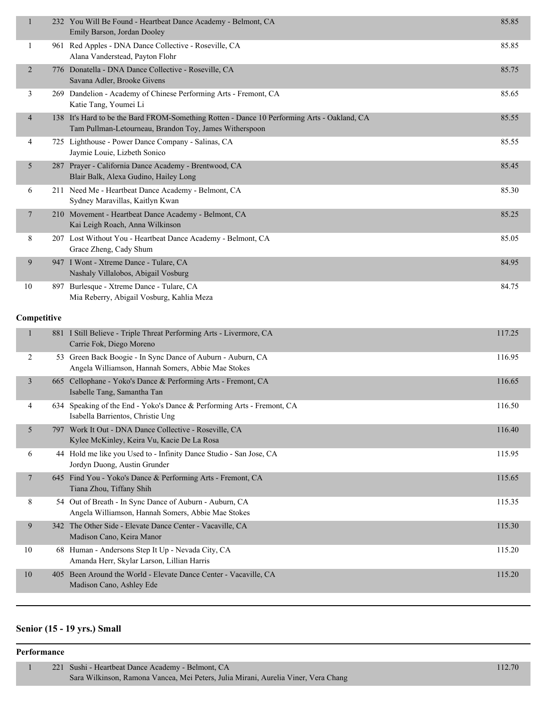| $\mathbf{1}$   | 232 You Will Be Found - Heartbeat Dance Academy - Belmont, CA<br>Emily Barson, Jordan Dooley                                                          | 85.85  |
|----------------|-------------------------------------------------------------------------------------------------------------------------------------------------------|--------|
| 1              | 961 Red Apples - DNA Dance Collective - Roseville, CA<br>Alana Vanderstead, Payton Flohr                                                              | 85.85  |
| $\overline{2}$ | 776 Donatella - DNA Dance Collective - Roseville, CA<br>Savana Adler, Brooke Givens                                                                   | 85.75  |
| 3              | 269 Dandelion - Academy of Chinese Performing Arts - Fremont, CA<br>Katie Tang, Youmei Li                                                             | 85.65  |
| 4              | 138 It's Hard to be the Bard FROM-Something Rotten - Dance 10 Performing Arts - Oakland, CA<br>Tam Pullman-Letourneau, Brandon Toy, James Witherspoon | 85.55  |
| 4              | 725 Lighthouse - Power Dance Company - Salinas, CA<br>Jaymie Louie, Lizbeth Sonico                                                                    | 85.55  |
| 5              | 287 Prayer - California Dance Academy - Brentwood, CA<br>Blair Balk, Alexa Gudino, Hailey Long                                                        | 85.45  |
| 6              | 211 Need Me - Heartbeat Dance Academy - Belmont, CA<br>Sydney Maravillas, Kaitlyn Kwan                                                                | 85.30  |
| $\tau$         | 210 Movement - Heartbeat Dance Academy - Belmont, CA<br>Kai Leigh Roach, Anna Wilkinson                                                               | 85.25  |
| 8              | 207 Lost Without You - Heartbeat Dance Academy - Belmont, CA<br>Grace Zheng, Cady Shum                                                                | 85.05  |
| 9              | 947 I Wont - Xtreme Dance - Tulare, CA<br>Nashaly Villalobos, Abigail Vosburg                                                                         | 84.95  |
| 10             | 897 Burlesque - Xtreme Dance - Tulare, CA<br>Mia Reberry, Abigail Vosburg, Kahlia Meza                                                                | 84.75  |
|                |                                                                                                                                                       |        |
| Competitive    |                                                                                                                                                       |        |
| $\mathbf{1}$   | 881 I Still Believe - Triple Threat Performing Arts - Livermore, CA<br>Carrie Fok, Diego Moreno                                                       | 117.25 |
| 2              | 53 Green Back Boogie - In Sync Dance of Auburn - Auburn, CA<br>Angela Williamson, Hannah Somers, Abbie Mae Stokes                                     | 116.95 |
| 3              | 665 Cellophane - Yoko's Dance & Performing Arts - Fremont, CA<br>Isabelle Tang, Samantha Tan                                                          | 116.65 |
| 4              | 634 Speaking of the End - Yoko's Dance & Performing Arts - Fremont, CA<br>Isabella Barrientos, Christie Ung                                           | 116.50 |
| 5              | 797 Work It Out - DNA Dance Collective - Roseville, CA<br>Kylee McKinley, Keira Vu, Kacie De La Rosa                                                  | 116.40 |
| 6              | 44 Hold me like you Used to - Infinity Dance Studio - San Jose, CA<br>Jordyn Duong, Austin Grunder                                                    | 115.95 |
| $\tau$         | 645 Find You - Yoko's Dance & Performing Arts - Fremont, CA<br>Tiana Zhou, Tiffany Shih                                                               | 115.65 |
| 8              | 54 Out of Breath - In Sync Dance of Auburn - Auburn, CA<br>Angela Williamson, Hannah Somers, Abbie Mae Stokes                                         | 115.35 |
| 9              | 342 The Other Side - Elevate Dance Center - Vacaville, CA<br>Madison Cano, Keira Manor                                                                | 115.30 |
| 10             | 68 Human - Andersons Step It Up - Nevada City, CA<br>Amanda Herr, Skylar Larson, Lillian Harris                                                       | 115.20 |
| 10             | 405 Been Around the World - Elevate Dance Center - Vacaville, CA<br>Madison Cano, Ashley Ede                                                          | 115.20 |

## **Senior (15 - 19 yrs.) Small**

#### **Performance**

 1 221 Sushi - Heartbeat Dance Academy - Belmont, CA 112.70 Sara Wilkinson, Ramona Vancea, Mei Peters, Julia Mirani, Aurelia Viner, Vera Chang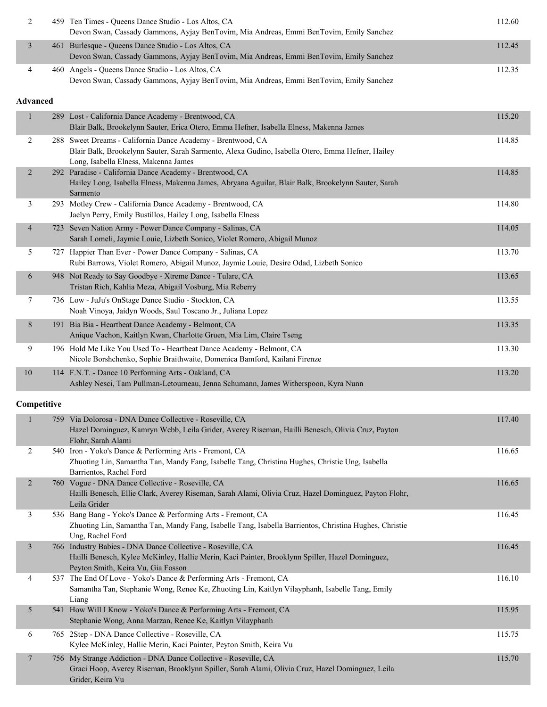| 2                        | 459 Ten Times - Queens Dance Studio - Los Altos, CA<br>Devon Swan, Cassady Gammons, Ayjay BenTovim, Mia Andreas, Emmi BenTovim, Emily Sanchez                                                           | 112.60 |
|--------------------------|---------------------------------------------------------------------------------------------------------------------------------------------------------------------------------------------------------|--------|
| 3                        | 461 Burlesque - Queens Dance Studio - Los Altos, CA<br>Devon Swan, Cassady Gammons, Ayjay BenTovim, Mia Andreas, Emmi BenTovim, Emily Sanchez                                                           | 112.45 |
| 4                        | 460 Angels - Queens Dance Studio - Los Altos, CA<br>Devon Swan, Cassady Gammons, Ayjay BenTovim, Mia Andreas, Emmi BenTovim, Emily Sanchez                                                              | 112.35 |
| <b>Advanced</b>          |                                                                                                                                                                                                         |        |
| $\mathbf{1}$             | 289 Lost - California Dance Academy - Brentwood, CA<br>Blair Balk, Brookelynn Sauter, Erica Otero, Emma Hefner, Isabella Elness, Makenna James                                                          | 115.20 |
| 2                        | 288 Sweet Dreams - California Dance Academy - Brentwood, CA<br>Blair Balk, Brookelynn Sauter, Sarah Sarmento, Alexa Gudino, Isabella Otero, Emma Hefner, Hailey<br>Long, Isabella Elness, Makenna James | 114.85 |
| $\overline{2}$           | 292 Paradise - California Dance Academy - Brentwood, CA<br>Hailey Long, Isabella Elness, Makenna James, Abryana Aguilar, Blair Balk, Brookelynn Sauter, Sarah<br>Sarmento                               | 114.85 |
| 3                        | 293 Motley Crew - California Dance Academy - Brentwood, CA<br>Jaelyn Perry, Emily Bustillos, Hailey Long, Isabella Elness                                                                               | 114.80 |
| $\overline{\mathcal{A}}$ | 723 Seven Nation Army - Power Dance Company - Salinas, CA<br>Sarah Lomeli, Jaymie Louie, Lizbeth Sonico, Violet Romero, Abigail Munoz                                                                   | 114.05 |
| 5                        | 727 Happier Than Ever - Power Dance Company - Salinas, CA<br>Rubi Barrows, Violet Romero, Abigail Munoz, Jaymie Louie, Desire Odad, Lizbeth Sonico                                                      | 113.70 |
| 6                        | 948 Not Ready to Say Goodbye - Xtreme Dance - Tulare, CA<br>Tristan Rich, Kahlia Meza, Abigail Vosburg, Mia Reberry                                                                                     | 113.65 |
| 7                        | 736 Low - JuJu's OnStage Dance Studio - Stockton, CA<br>Noah Vinoya, Jaidyn Woods, Saul Toscano Jr., Juliana Lopez                                                                                      | 113.55 |
| 8                        | 191 Bia Bia - Heartbeat Dance Academy - Belmont, CA<br>Anique Vachon, Kaitlyn Kwan, Charlotte Gruen, Mia Lim, Claire Tseng                                                                              | 113.35 |
| 9                        | 196 Hold Me Like You Used To - Heartbeat Dance Academy - Belmont, CA<br>Nicole Borshchenko, Sophie Braithwaite, Domenica Bamford, Kailani Firenze                                                       | 113.30 |
| $10\,$                   | 114 F.N.T. - Dance 10 Performing Arts - Oakland, CA<br>Ashley Nesci, Tam Pullman-Letourneau, Jenna Schumann, James Witherspoon, Kyra Nunn                                                               | 113.20 |
| Competitive              |                                                                                                                                                                                                         |        |
|                          | 759 Via Dolorosa - DNA Dance Collective - Roseville, CA<br>Hazel Dominguez, Kamryn Webb, Leila Grider, Averey Riseman, Hailli Benesch, Olivia Cruz, Payton<br>Flohr, Sarah Alami                        | 117.40 |
| $\overline{2}$           | 540 Iron - Yoko's Dance & Performing Arts - Fremont, CA<br>Zhuoting Lin, Samantha Tan, Mandy Fang, Isabelle Tang, Christina Hughes, Christie Ung, Isabella<br>Barrientos, Rachel Ford                   | 116.65 |
| $\overline{2}$           | 760 Vogue - DNA Dance Collective - Roseville, CA<br>Hailli Benesch, Ellie Clark, Averey Riseman, Sarah Alami, Olivia Cruz, Hazel Dominguez, Payton Flohr,<br>Leila Grider                               | 116.65 |
| 3                        | 536 Bang Bang - Yoko's Dance & Performing Arts - Fremont, CA<br>Zhuoting Lin, Samantha Tan, Mandy Fang, Isabelle Tang, Isabella Barrientos, Christina Hughes, Christie<br>Ung, Rachel Ford              | 116.45 |
| $\mathfrak{Z}$           | 766 Industry Babies - DNA Dance Collective - Roseville, CA<br>Hailli Benesch, Kylee McKinley, Hallie Merin, Kaci Painter, Brooklynn Spiller, Hazel Dominguez,<br>Peyton Smith, Keira Vu, Gia Fosson     | 116.45 |
| 4                        | 537 The End Of Love - Yoko's Dance & Performing Arts - Fremont, CA<br>Samantha Tan, Stephanie Wong, Renee Ke, Zhuoting Lin, Kaitlyn Vilayphanh, Isabelle Tang, Emily<br>Liang                           | 116.10 |
| 5                        | 541 How Will I Know - Yoko's Dance & Performing Arts - Fremont, CA<br>Stephanie Wong, Anna Marzan, Renee Ke, Kaitlyn Vilayphanh                                                                         | 115.95 |
| 6                        | 765 2Step - DNA Dance Collective - Roseville, CA<br>Kylee McKinley, Hallie Merin, Kaci Painter, Peyton Smith, Keira Vu                                                                                  | 115.75 |
| 7                        | 756 My Strange Addiction - DNA Dance Collective - Roseville, CA<br>Graci Hoop, Averey Riseman, Brooklynn Spiller, Sarah Alami, Olivia Cruz, Hazel Dominguez, Leila<br>Grider, Keira Vu                  | 115.70 |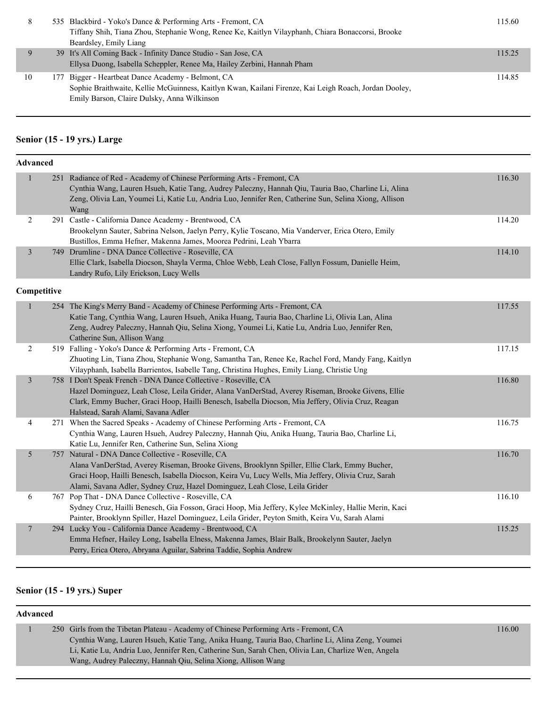| 8  | 535 Blackbird - Yoko's Dance & Performing Arts - Fremont, CA<br>Tiffany Shih, Tiana Zhou, Stephanie Wong, Renee Ke, Kaitlyn Vilayphanh, Chiara Bonaccorsi, Brooke<br>Beardsley, Emily Liang                | 115.60 |
|----|------------------------------------------------------------------------------------------------------------------------------------------------------------------------------------------------------------|--------|
|    | 39 It's All Coming Back - Infinity Dance Studio - San Jose, CA<br>Ellysa Duong, Isabella Scheppler, Renee Ma, Hailey Zerbini, Hannah Pham                                                                  | 115.25 |
| 10 | 177 Bigger - Heartbeat Dance Academy - Belmont, CA<br>Sophie Braithwaite, Kellie McGuinness, Kaitlyn Kwan, Kailani Firenze, Kai Leigh Roach, Jordan Dooley,<br>Emily Barson, Claire Dulsky, Anna Wilkinson | 114.85 |

## **Senior (15 - 19 yrs.) Large**

| Advanced       |                                                                                                                                                                                                                                                                                                                                           |        |
|----------------|-------------------------------------------------------------------------------------------------------------------------------------------------------------------------------------------------------------------------------------------------------------------------------------------------------------------------------------------|--------|
| $\mathbf{1}$   | 251 Radiance of Red - Academy of Chinese Performing Arts - Fremont, CA<br>Cynthia Wang, Lauren Hsueh, Katie Tang, Audrey Paleczny, Hannah Qiu, Tauria Bao, Charline Li, Alina<br>Zeng, Olivia Lan, Youmei Li, Katie Lu, Andria Luo, Jennifer Ren, Catherine Sun, Selina Xiong, Allison<br>Wang                                            | 116.30 |
| 2              | 291 Castle - California Dance Academy - Brentwood, CA<br>Brookelynn Sauter, Sabrina Nelson, Jaelyn Perry, Kylie Toscano, Mia Vanderver, Erica Otero, Emily<br>Bustillos, Emma Hefner, Makenna James, Moorea Pedrini, Leah Ybarra                                                                                                          | 114.20 |
| $\mathfrak{Z}$ | 749 Drumline - DNA Dance Collective - Roseville, CA<br>Ellie Clark, Isabella Diocson, Shayla Verma, Chloe Webb, Leah Close, Fallyn Fossum, Danielle Heim,<br>Landry Rufo, Lily Erickson, Lucy Wells                                                                                                                                       | 114.10 |
| Competitive    |                                                                                                                                                                                                                                                                                                                                           |        |
| $\mathbf{1}$   | 254 The King's Merry Band - Academy of Chinese Performing Arts - Fremont, CA<br>Katie Tang, Cynthia Wang, Lauren Hsueh, Anika Huang, Tauria Bao, Charline Li, Olivia Lan, Alina<br>Zeng, Audrey Paleczny, Hannah Qiu, Selina Xiong, Youmei Li, Katie Lu, Andria Luo, Jennifer Ren,<br>Catherine Sun, Allison Wang                         | 117.55 |
| 2              | 519 Falling - Yoko's Dance & Performing Arts - Fremont, CA<br>Zhuoting Lin, Tiana Zhou, Stephanie Wong, Samantha Tan, Renee Ke, Rachel Ford, Mandy Fang, Kaitlyn<br>Vilayphanh, Isabella Barrientos, Isabelle Tang, Christina Hughes, Emily Liang, Christie Ung                                                                           | 117.15 |
| $\mathfrak{Z}$ | 758 I Don't Speak French - DNA Dance Collective - Roseville, CA<br>Hazel Dominguez, Leah Close, Leila Grider, Alana VanDerStad, Averey Riseman, Brooke Givens, Ellie<br>Clark, Emmy Bucher, Graci Hoop, Hailli Benesch, Isabella Diocson, Mia Jeffery, Olivia Cruz, Reagan<br>Halstead, Sarah Alami, Savana Adler                         | 116.80 |
| 4              | 271 When the Sacred Speaks - Academy of Chinese Performing Arts - Fremont, CA<br>Cynthia Wang, Lauren Hsueh, Audrey Paleczny, Hannah Qiu, Anika Huang, Tauria Bao, Charline Li,<br>Katie Lu, Jennifer Ren, Catherine Sun, Selina Xiong                                                                                                    | 116.75 |
| 5              | 757 Natural - DNA Dance Collective - Roseville, CA<br>Alana VanDerStad, Averey Riseman, Brooke Givens, Brooklynn Spiller, Ellie Clark, Emmy Bucher,<br>Graci Hoop, Hailli Benesch, Isabella Diocson, Keira Vu, Lucy Wells, Mia Jeffery, Olivia Cruz, Sarah<br>Alami, Savana Adler, Sydney Cruz, Hazel Dominguez, Leah Close, Leila Grider | 116.70 |
| 6              | 767 Pop That - DNA Dance Collective - Roseville, CA<br>Sydney Cruz, Hailli Benesch, Gia Fosson, Graci Hoop, Mia Jeffery, Kylee McKinley, Hallie Merin, Kaci<br>Painter, Brooklynn Spiller, Hazel Dominguez, Leila Grider, Peyton Smith, Keira Vu, Sarah Alami                                                                             | 116.10 |
| $\overline{7}$ | 294 Lucky You - California Dance Academy - Brentwood, CA<br>Emma Hefner, Hailey Long, Isabella Elness, Makenna James, Blair Balk, Brookelynn Sauter, Jaelyn<br>Perry, Erica Otero, Abryana Aguilar, Sabrina Taddie, Sophia Andrew                                                                                                         | 115.25 |

## **Senior (15 - 19 yrs.) Super**

#### **Advanced**

| 250 Girls from the Tibetan Plateau - Academy of Chinese Performing Arts - Fremont, CA               | 16.00 |
|-----------------------------------------------------------------------------------------------------|-------|
| Cynthia Wang, Lauren Hsueh, Katie Tang, Anika Huang, Tauria Bao, Charline Li, Alina Zeng, Youmei    |       |
| Li, Katie Lu, Andria Luo, Jennifer Ren, Catherine Sun, Sarah Chen, Olivia Lan, Charlize Wen, Angela |       |
| Wang, Audrey Paleczny, Hannah Qiu, Selina Xiong, Allison Wang                                       |       |